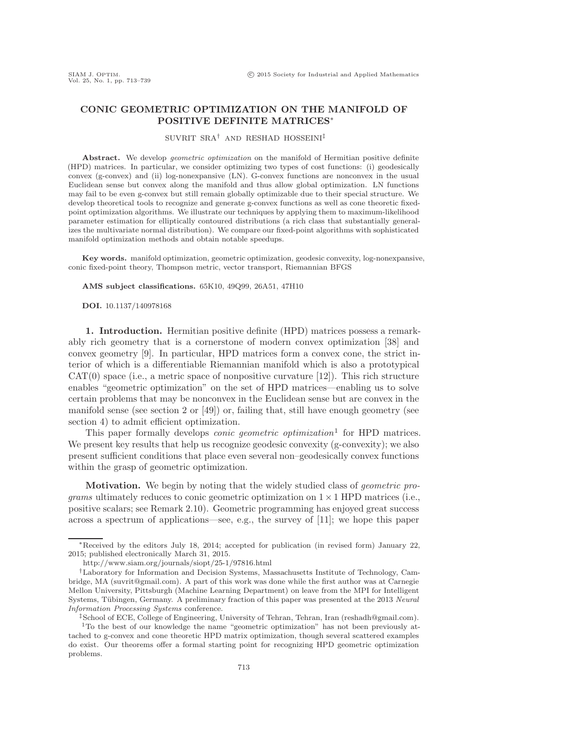## **CONIC GEOMETRIC OPTIMIZATION ON THE MANIFOLD OF POSITIVE DEFINITE MATRICES**∗

SUVRIT SRA† AND RESHAD HOSSEINI‡

Abstract. We develop *geometric optimization* on the manifold of Hermitian positive definite (HPD) matrices. In particular, we consider optimizing two types of cost functions: (i) geodesically convex (g-convex) and (ii) log-nonexpansive (LN). G-convex functions are nonconvex in the usual Euclidean sense but convex along the manifold and thus allow global optimization. LN functions may fail to be even g-convex but still remain globally optimizable due to their special structure. We develop theoretical tools to recognize and generate g-convex functions as well as cone theoretic fixedpoint optimization algorithms. We illustrate our techniques by applying them to maximum-likelihood parameter estimation for elliptically contoured distributions (a rich class that substantially generalizes the multivariate normal distribution). We compare our fixed-point algorithms with sophisticated manifold optimization methods and obtain notable speedups.

**Key words.** manifold optimization, geometric optimization, geodesic convexity, log-nonexpansive, conic fixed-point theory, Thompson metric, vector transport, Riemannian BFGS

**AMS subject classifications.** 65K10, 49Q99, 26A51, 47H10

**DOI.** 10.1137/140978168

**1. Introduction.** Hermitian positive definite (HPD) matrices possess a remarkably rich geometry that is a cornerstone of modern convex optimization [\[38\]](#page-26-0) and convex geometry [\[9\]](#page-25-0). In particular, HPD matrices form a convex cone, the strict interior of which is a differentiable Riemannian manifold which is also a prototypical  $CAT(0)$  space (i.e., a metric space of nonpositive curvature [\[12\]](#page-25-1)). This rich structure enables "geometric optimization" on the set of HPD matrices—enabling us to solve certain problems that may be nonconvex in the Euclidean sense but are convex in the manifold sense (see section [2](#page-1-0) or [\[49\]](#page-26-1)) or, failing that, still have enough geometry (see section [4\)](#page-10-0) to admit efficient optimization.

This paper formally develops *conic geometric optimization*[1](#page-0-0) for HPD matrices. We present key results that help us recognize geodesic convexity (g-convexity); we also present sufficient conditions that place even several non–geodesically convex functions within the grasp of geometric optimization.

**Motivation.** We begin by noting that the widely studied class of *geometric programs* ultimately reduces to conic geometric optimization on  $1 \times 1$  HPD matrices (i.e., positive scalars; see Remark [2.10\)](#page-4-0). Geometric programming has enjoyed great success across a spectrum of applications—see, e.g., the survey of [\[11\]](#page-25-2); we hope this paper

<sup>∗</sup>Received by the editors July 18, 2014; accepted for publication (in revised form) January 22, 2015; published electronically March 31, 2015.

<http://www.siam.org/journals/siopt/25-1/97816.html>

<sup>†</sup>Laboratory for Information and Decision Systems, Massachusetts Institute of Technology, Cambridge, MA [\(suvrit@gmail.com\)](mailto:suvrit@gmail.com). A part of this work was done while the first author was at Carnegie Mellon University, Pittsburgh (Machine Learning Department) on leave from the MPI for Intelligent Systems, Tübingen, Germany. A preliminary fraction of this paper was presented at the 2013 Neural Information Processing Systems conference.

<sup>‡</sup>School of ECE, College of Engineering, University of Tehran, Tehran, Iran [\(reshadh@gmail.com\)](mailto:reshadh@gmail.com). <sup>1</sup>To the best of our knowledge the name "geometric optimization" has not been previously attached to g-convex and cone theoretic HPD matrix optimization, though several scattered examples

<span id="page-0-0"></span>do exist. Our theorems offer a formal starting point for recognizing HPD geometric optimization problems.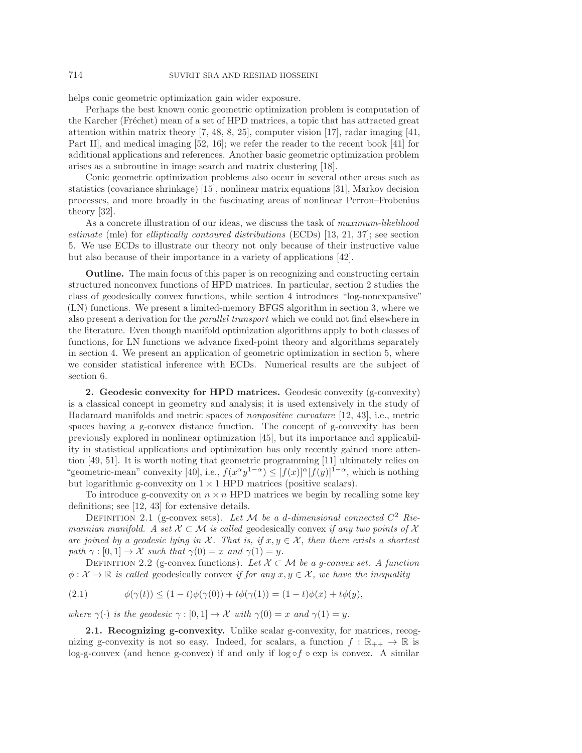helps conic geometric optimization gain wider exposure.

Perhaps the best known conic geometric optimization problem is computation of the Karcher (Fréchet) mean of a set of HPD matrices, a topic that has attracted great attention within matrix theory [\[7,](#page-25-3) [48,](#page-26-2) [8,](#page-25-4) [25\]](#page-26-3), computer vision [\[17\]](#page-25-5), radar imaging [\[41,](#page-26-4) Part II], and medical imaging [\[52,](#page-26-5) [16\]](#page-25-6); we refer the reader to the recent book [\[41\]](#page-26-4) for additional applications and references. Another basic geometric optimization problem arises as a subroutine in image search and matrix clustering [\[18\]](#page-25-7).

Conic geometric optimization problems also occur in several other areas such as statistics (covariance shrinkage) [\[15\]](#page-25-8), nonlinear matrix equations [\[31\]](#page-26-6), Markov decision processes, and more broadly in the fascinating areas of nonlinear Perron–Frobenius theory [\[32\]](#page-26-7).

As a concrete illustration of our ideas, we discuss the task of *maximum-likelihood estimate* (mle) for *elliptically contoured distributions* (ECDs) [\[13,](#page-25-9) [21,](#page-25-10) [37\]](#page-26-8); see section [5.](#page-18-0) We use ECDs to illustrate our theory not only because of their instructive value but also because of their importance in a variety of applications [\[42\]](#page-26-9).

**Outline.** The main focus of this paper is on recognizing and constructing certain structured nonconvex functions of HPD matrices. In particular, section [2](#page-1-0) studies the class of geodesically convex functions, while section [4](#page-10-0) introduces "log-nonexpansive" (LN) functions. We present a limited-memory BFGS algorithm in section [3,](#page-8-0) where we also present a derivation for the *parallel transport* which we could not find elsewhere in the literature. Even though manifold optimization algorithms apply to both classes of functions, for LN functions we advance fixed-point theory and algorithms separately in section [4.](#page-10-0) We present an application of geometric optimization in section [5,](#page-18-0) where we consider statistical inference with ECDs. Numerical results are the subject of section [6.](#page-23-0)

<span id="page-1-0"></span>**2. Geodesic convexity for HPD matrices.** Geodesic convexity (g-convexity) is a classical concept in geometry and analysis; it is used extensively in the study of Hadamard manifolds and metric spaces of *nonpositive curvature* [\[12,](#page-25-1) [43\]](#page-26-10), i.e., metric spaces having a g-convex distance function. The concept of g-convexity has been previously explored in nonlinear optimization [\[45\]](#page-26-11), but its importance and applicability in statistical applications and optimization has only recently gained more attention [\[49,](#page-26-1) [51\]](#page-26-12). It is worth noting that geometric programming [\[11\]](#page-25-2) ultimately relies on "geometric-mean" convexity [\[40\]](#page-26-13), i.e.,  $f(x^{\alpha}y^{1-\alpha}) \leq [f(x)]^{\alpha} [f(y)]^{1-\alpha}$ , which is nothing but logarithmic g-convexity on  $1 \times 1$  HPD matrices (positive scalars).

To introduce g-convexity on  $n \times n$  HPD matrices we begin by recalling some key definitions; see [\[12,](#page-25-1) [43\]](#page-26-10) for extensive details.

DEFINITION 2.1 (g-convex sets). Let  $M$  be a d-dimensional connected  $C^2$  Rie*mannian manifold.* A set  $X \subset \mathcal{M}$  is called geodesically convex if any two points of X *are joined by a geodesic lying in*  $\mathcal{X}$ *. That is, if*  $x, y \in \mathcal{X}$ *, then there exists a shortest path*  $\gamma : [0, 1] \to \mathcal{X}$  *such that*  $\gamma(0) = x$  *and*  $\gamma(1) = y$ *.* 

DEFINITION 2.2 (g-convex functions). Let  $\mathcal{X} \subset \mathcal{M}$  be a g-convex set. A function  $\phi: \mathcal{X} \to \mathbb{R}$  *is called* geodesically convex *if for any*  $x, y \in \mathcal{X}$ *, we have the inequality* 

(2.1) 
$$
\phi(\gamma(t)) \le (1-t)\phi(\gamma(0)) + t\phi(\gamma(1)) = (1-t)\phi(x) + t\phi(y),
$$

*where*  $\gamma(\cdot)$  *is the geodesic*  $\gamma : [0, 1] \to \mathcal{X}$  *with*  $\gamma(0) = x$  *and*  $\gamma(1) = y$ *.* 

**2.1. Recognizing g-convexity.** Unlike scalar g-convexity, for matrices, recognizing g-convexity is not so easy. Indeed, for scalars, a function  $f : \mathbb{R}_{++} \to \mathbb{R}$  is log-g-convex (and hence g-convex) if and only if  $\log \circ f \circ \exp$  is convex. A similar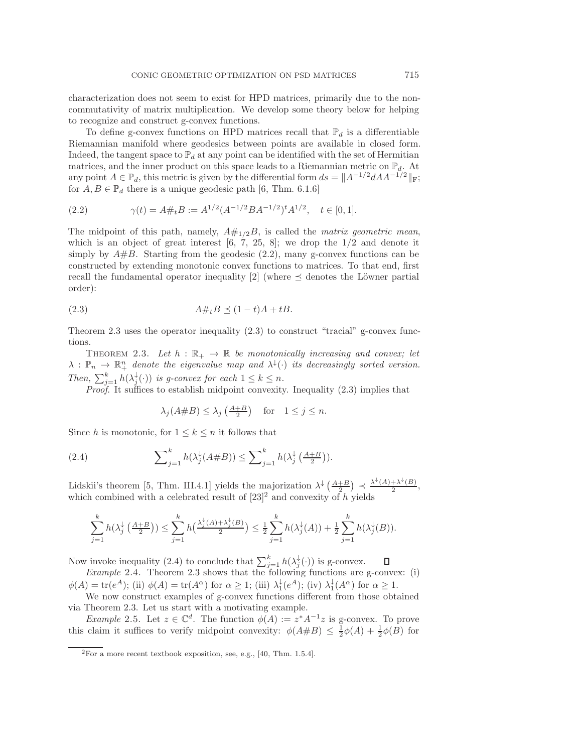characterization does not seem to exist for HPD matrices, primarily due to the noncommutativity of matrix multiplication. We develop some theory below for helping to recognize and construct g-convex functions.

To define g-convex functions on HPD matrices recall that  $\mathbb{P}_d$  is a differentiable Riemannian manifold where geodesics between points are available in closed form. Indeed, the tangent space to  $\mathbb{P}_d$  at any point can be identified with the set of Hermitian matrices, and the inner product on this space leads to a Riemannian metric on  $\mathbb{P}_d$ . At any point  $A \in \mathbb{P}_d$ , this metric is given by the differential form  $ds = \|A^{-1/2}dA^{-1/2}\|_F$ ; for  $A, B \in \mathbb{P}_d$  there is a unique geodesic path [\[6,](#page-25-11) Thm. 6.1.6]

<span id="page-2-0"></span>(2.2) 
$$
\gamma(t) = A \#_t B := A^{1/2} (A^{-1/2} B A^{-1/2})^t A^{1/2}, \quad t \in [0, 1].
$$

The midpoint of this path, namely,  $A#_{1/2}B$ , is called the *matrix geometric mean*, which is an object of great interest  $[6, 7, 25, 8]$  $[6, 7, 25, 8]$  $[6, 7, 25, 8]$  $[6, 7, 25, 8]$ ; we drop the  $1/2$  and denote it simply by  $A\#B$ . Starting from the geodesic [\(2.2\)](#page-2-0), many g-convex functions can be constructed by extending monotonic convex functions to matrices. To that end, first recall the fundamental operator inequality [\[2\]](#page-25-12) (where  $\preceq$  denotes the Löwner partial order):

<span id="page-2-2"></span>
$$
(2.3) \tA\#_t B \preceq (1-t)A + tB.
$$

<span id="page-2-1"></span>Theorem [2.3](#page-2-1) uses the operator inequality  $(2.3)$  to construct "tracial" g-convex functions.

THEOREM 2.3. Let  $h : \mathbb{R}_+ \to \mathbb{R}$  be monotonically increasing and convex; let  $\lambda: \mathbb{P}_n \to \mathbb{R}^n_+$  denote the eigenvalue map and  $\lambda^{\downarrow}(\cdot)$  its decreasingly sorted version. *Then,*  $\sum_{j=1}^{k} h(\lambda_j^{\downarrow}(\cdot))$  *is g-convex for each*  $1 \leq k \leq n$ *.* 

*Proof*. It suffices to establish midpoint convexity. Inequality [\(2.3\)](#page-2-2) implies that

<span id="page-2-4"></span>
$$
\lambda_j(A \# B) \le \lambda_j \left(\frac{A+B}{2}\right) \quad \text{for} \quad 1 \le j \le n.
$$

Since h is monotonic, for  $1 \leq k \leq n$  it follows that

(2.4) 
$$
\sum_{j=1}^k h(\lambda_j^{\downarrow}(A \# B)) \leq \sum_{j=1}^k h(\lambda_j^{\downarrow}(\frac{A+B}{2})).
$$

Lidskii's theorem [\[5,](#page-25-13) Thm. III.4.1] yields the majorization  $\lambda^{\downarrow}\left(\frac{A+B}{2}\right) \prec \frac{\lambda^{\downarrow}(A)+\lambda^{\downarrow}(B)}{2}$ , which combined with a celebrated result of  $[23]^2$  $[23]^2$  $[23]^2$  and convexity of h yields

$$
\sum_{j=1}^k h(\lambda_j^{\downarrow}(\tfrac{A+B}{2})) \leq \sum_{j=1}^k h(\tfrac{\lambda_j^{\downarrow}(A)+\lambda_j^{\downarrow}(B)}{2}) \leq \frac{1}{2}\sum_{j=1}^k h(\lambda_j^{\downarrow}(A)) + \frac{1}{2}\sum_{j=1}^k h(\lambda_j^{\downarrow}(B)).
$$

Now invoke inequality [\(2.4\)](#page-2-4) to conclude that  $\sum_{j=1}^{k} h(\lambda_j^{\downarrow}(\cdot))$  is g-convex.

*Example* 2.4. Theorem [2.3](#page-2-1) shows that the following functions are g-convex: (i)  $\phi(A) = \text{tr}(e^A);$  (ii)  $\phi(A) = \text{tr}(A^{\alpha})$  for  $\alpha \geq 1$ ; (iii)  $\lambda_1^{\downarrow}(e^A);$  (iv)  $\lambda_1^{\downarrow}(A^{\alpha})$  for  $\alpha \geq 1$ .

We now construct examples of g-convex functions different from those obtained via Theorem [2.3.](#page-2-1) Let us start with a motivating example.

<span id="page-2-5"></span>*Example* 2.5. Let  $z \in \mathbb{C}^d$ . The function  $\phi(A) := z^* A^{-1} z$  is g-convex. To prove this claim it suffices to verify midpoint convexity:  $\phi(A \# B) \leq \frac{1}{2}\phi(A) + \frac{1}{2}\phi(B)$  for

<span id="page-2-3"></span> $2$ For a more recent textbook exposition, see, e.g., [\[40,](#page-26-13) Thm. 1.5.4].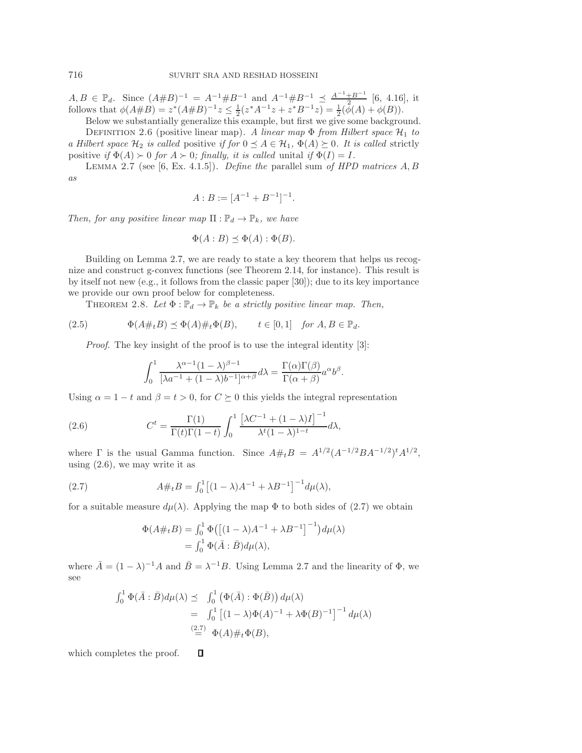$A, B \in \mathbb{P}_d$ . Since  $(A\#B)^{-1} = A^{-1}\#B^{-1}$  and  $A^{-1}\#B^{-1} \preceq \frac{A^{-1}+B^{-1}}{1-2}$  [\[6,](#page-25-11) 4.16], it follows that  $\phi(A\#B) = z^*(A\#B)^{-1}z \leq \frac{1}{2}(z^*A^{-1}z + z^*B^{-1}z) = \frac{1}{2}(\bar{\phi}(A) + \phi(B)).$ 

Below we substantially generalize this example, but first we give some background. DEFINITION 2.6 (positive linear map). A linear map  $\Phi$  from Hilbert space  $\mathcal{H}_1$  to *a Hilbert space*  $\mathcal{H}_2$  *is called* positive *if for*  $0 \leq A \in \mathcal{H}_1$ ,  $\Phi(A) \geq 0$ *. It is called* strictly positive *if*  $\Phi(A) \succ 0$  *for*  $A \succ 0$ *; finally, it is called unital if*  $\Phi(I) = I$ *.* 

<span id="page-3-0"></span>Lemma 2.7 (see [\[6,](#page-25-11) Ex. 4.1.5]). *Define the* parallel sum *of HPD matrices* A, B *as*

$$
A:B := [A^{-1} + B^{-1}]^{-1}.
$$

*Then, for any positive linear map*  $\Pi : \mathbb{P}_d \to \mathbb{P}_k$ *, we have* 

$$
\Phi(A:B) \preceq \Phi(A): \Phi(B).
$$

Building on Lemma [2.7,](#page-3-0) we are ready to state a key theorem that helps us recognize and construct g-convex functions (see Theorem [2.14,](#page-4-1) for instance). This result is by itself not new  $(e.g., it follows from the classic paper [30])$  $(e.g., it follows from the classic paper [30])$  $(e.g., it follows from the classic paper [30])$ ; due to its key importance we provide our own proof below for completeness.

<span id="page-3-3"></span>THEOREM 2.8. Let  $\Phi : \mathbb{P}_d \to \mathbb{P}_k$  be a strictly positive linear map. Then,

(2.5) 
$$
\Phi(A\#_t B) \preceq \Phi(A)\#_t \Phi(B), \qquad t \in [0,1] \quad \text{for } A, B \in \mathbb{P}_d.
$$

*Proof.* The key insight of the proof is to use the integral identity [\[3\]](#page-25-14):

<span id="page-3-1"></span>
$$
\int_0^1 \frac{\lambda^{\alpha-1} (1-\lambda)^{\beta-1}}{[\lambda a^{-1} + (1-\lambda)b^{-1}]^{\alpha+\beta}} d\lambda = \frac{\Gamma(\alpha)\Gamma(\beta)}{\Gamma(\alpha+\beta)} a^{\alpha} b^{\beta}.
$$

Using  $\alpha = 1 - t$  and  $\beta = t > 0$ , for  $C \succeq 0$  this yields the integral representation

(2.6) 
$$
C^t = \frac{\Gamma(1)}{\Gamma(t)\Gamma(1-t)} \int_0^1 \frac{\left[\lambda C^{-1} + (1-\lambda)I\right]^{-1}}{\lambda^t (1-\lambda)^{1-t}} d\lambda,
$$

where  $\Gamma$  is the usual Gamma function. Since  $A\#_tB = A^{1/2}(A^{-1/2}BA^{-1/2})^tA^{1/2}$ , using  $(2.6)$ , we may write it as

(2.7) 
$$
A\#_t B = \int_0^1 \left[ (1-\lambda)A^{-1} + \lambda B^{-1} \right]^{-1} d\mu(\lambda),
$$

 $\Box$ 

for a suitable measure  $d\mu(\lambda)$ . Applying the map  $\Phi$  to both sides of [\(2.7\)](#page-3-2) we obtain

<span id="page-3-2"></span>
$$
\Phi(A \#_t B) = \int_0^1 \Phi\left(\left[(1-\lambda)A^{-1} + \lambda B^{-1}\right]^{-1}\right) d\mu(\lambda)
$$

$$
= \int_0^1 \Phi(\bar{A} : \bar{B}) d\mu(\lambda),
$$

where  $\bar{A} = (1 - \lambda)^{-1}A$  and  $\bar{B} = \lambda^{-1}B$ . Using Lemma [2.7](#page-3-0) and the linearity of  $\Phi$ , we see

$$
\int_0^1 \Phi(\bar{A} : \bar{B}) d\mu(\lambda) \preceq \int_0^1 (\Phi(\bar{A}) : \Phi(\bar{B})) d\mu(\lambda)
$$
  
= 
$$
\int_0^1 \left[ (1 - \lambda) \Phi(A)^{-1} + \lambda \Phi(B)^{-1} \right]^{-1} d\mu(\lambda)
$$
  
= 
$$
\sum_{i=1}^{(2.7)} \Phi(A) \#_t \Phi(B),
$$

which completes the proof.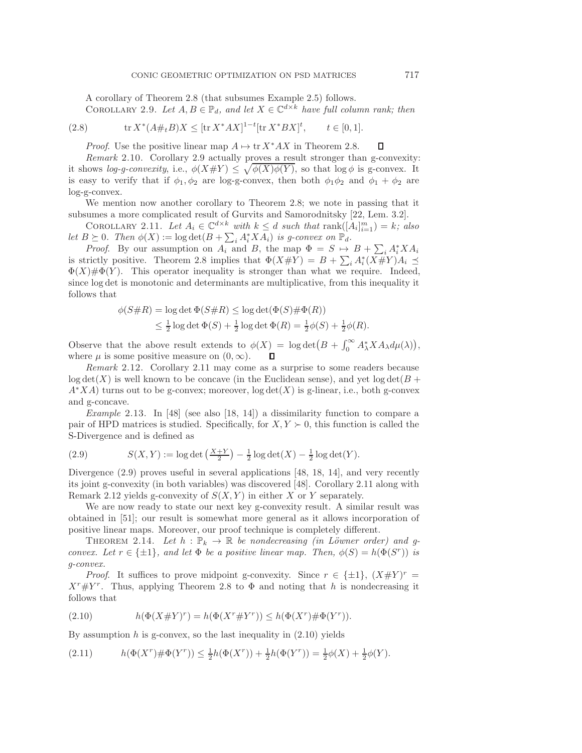<span id="page-4-2"></span>A corollary of Theorem [2.8](#page-3-3) (that subsumes Example [2.5\)](#page-2-5) follows. COROLLARY 2.9. Let  $A, B \in \mathbb{P}_d$ , and let  $X \in \mathbb{C}^{d \times k}$  have full column rank; then

(2.8) 
$$
\text{tr}\, X^*(A\#_t B)X \leq [\text{tr}\, X^*AX]^{1-t}[\text{tr}\, X^*BX]^t, \qquad t \in [0,1].
$$

*Proof.* Use the positive linear map  $A \mapsto \text{tr } X^* A X$  in Theorem [2.8.](#page-3-3)  $\Box$ 

<span id="page-4-0"></span>*Remark* 2.10. Corollary [2.9](#page-4-2) actually proves a result stronger than g-convexity: it shows *log-g-convexity*, i.e.,  $\phi(X \# Y) \leq \sqrt{\phi(X)\phi(Y)}$ , so that  $\log \phi$  is g-convex. It is easy to verify that if  $\phi_1, \phi_2$  are log-g-convex, then both  $\phi_1 \phi_2$  and  $\phi_1 + \phi_2$  are log-g-convex.

We mention now another corollary to Theorem [2.8;](#page-3-3) we note in passing that it subsumes a more complicated result of Gurvits and Samorodnitsky [\[22,](#page-25-15) Lem. 3.2].

<span id="page-4-3"></span>COROLLARY 2.11. Let  $A_i \in \mathbb{C}^{d \times k}$  with  $k \leq d$  such that  $\text{rank}([\tilde{A}_i]_{i=1}^m) = k$ ; also *let*  $B \succeq 0$ *. Then*  $\phi(X) := \log \det(B + \sum_i A_i^* X A_i)$  *is g-convex on*  $\mathbb{P}_d$ *.* 

*Proof.* By our assumption on  $A_i$  and  $B$ , the map  $\Phi = S \mapsto B + \sum_i A_i^* X A_i$ is strictly positive. Theorem [2.8](#page-3-3) implies that  $\Phi(X\#Y) = B + \sum_i A_i^*(X\#Y)A_i \preceq$  $\Phi(X)\#\Phi(Y)$ . This operator inequality is stronger than what we require. Indeed, since log det is monotonic and determinants are multiplicative, from this inequality it follows that

$$
\phi(S\#R) = \log \det \Phi(S\#R) \le \log \det(\Phi(S)\# \Phi(R))
$$
  

$$
\le \frac{1}{2} \log \det \Phi(S) + \frac{1}{2} \log \det \Phi(R) = \frac{1}{2}\phi(S) + \frac{1}{2}\phi(R).
$$

Observe that the above result extends to  $\phi(X) = \log \det (B + \int_0^\infty A_\lambda^* X A_\lambda d\mu(\lambda)),$ where  $\mu$  is some positive measure on  $(0, \infty)$ . Л

<span id="page-4-5"></span>*Remark* 2.12. Corollary [2.11](#page-4-3) may come as a surprise to some readers because  $\log \det(X)$  is well known to be concave (in the Euclidean sense), and yet  $\log \det(B +$  $A<sup>*</sup>XA$ ) turns out to be g-convex; moreover,  $log det(X)$  is g-linear, i.e., both g-convex and g-concave.

*Example* 2.13. In [\[48\]](#page-26-2) (see also [\[18,](#page-25-7) [14\]](#page-25-16)) a dissimilarity function to compare a pair of HPD matrices is studied. Specifically, for  $X, Y \succ 0$ , this function is called the S-Divergence and is defined as

<span id="page-4-4"></span>(2.9) 
$$
S(X,Y) := \log \det \left( \frac{X+Y}{2} \right) - \frac{1}{2} \log \det(X) - \frac{1}{2} \log \det(Y).
$$

Divergence [\(2.9\)](#page-4-4) proves useful in several applications [\[48,](#page-26-2) [18,](#page-25-7) [14\]](#page-25-16), and very recently its joint g-convexity (in both variables) was discovered [\[48\]](#page-26-2). Corollary [2.11](#page-4-3) along with Remark [2.12](#page-4-5) yields g-convexity of  $S(X, Y)$  in either X or Y separately.

We are now ready to state our next key g-convexity result. A similar result was obtained in [\[51\]](#page-26-12); our result is somewhat more general as it allows incorporation of positive linear maps. Moreover, our proof technique is completely different.

<span id="page-4-1"></span>THEOREM 2.14. Let  $h : \mathbb{P}_k \to \mathbb{R}$  be nondecreasing (in Löwner order) and g*convex. Let*  $r \in \{\pm 1\}$ *, and let*  $\Phi$  *be a positive linear map. Then,*  $\phi(S) = h(\Phi(S^r))$  *is g-convex.*

*Proof.* It suffices to prove midpoint g-convexity. Since  $r \in \{\pm 1\}$ ,  $(X \# Y)^r =$  $X^r \# Y^r$ . Thus, applying Theorem [2.8](#page-3-3) to  $\Phi$  and noting that h is nondecreasing it follows that

<span id="page-4-6"></span>(2.10) 
$$
h(\Phi(X \# Y)^r) = h(\Phi(X^r \# Y^r)) \le h(\Phi(X^r) \# \Phi(Y^r)).
$$

By assumption h is g-convex, so the last inequality in  $(2.10)$  yields

(2.11) 
$$
h(\Phi(X^r)\#\Phi(Y^r)) \le \frac{1}{2}h(\Phi(X^r)) + \frac{1}{2}h(\Phi(Y^r)) = \frac{1}{2}\phi(X) + \frac{1}{2}\phi(Y).
$$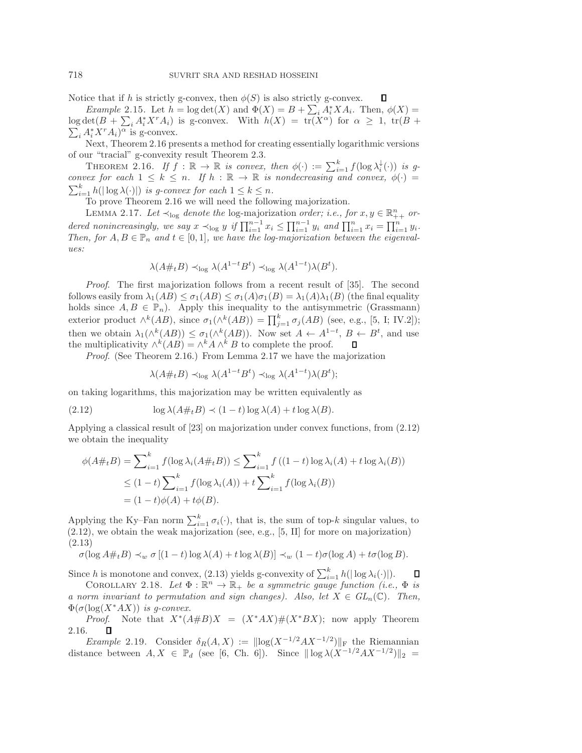$\Box$ 

Notice that if h is strictly g-convex, then  $\phi(S)$  is also strictly g-convex.

*Example* 2.15. Let  $h = \log \det(X)$  and  $\Phi(X) = B + \sum_{i} A_i^* X A_i$ . Then,  $\phi(X) =$  $\log \det(B + \sum_i A_i^* X^r A_i)$  is g-convex. With  $h(X) = \text{tr}(X^{\alpha})$  for  $\alpha \geq 1$ ,  $\text{tr}(B +$  $\sum_i A_i^* X^r A_i$ <sup>o</sup> is g-convex.

Next, Theorem [2.16](#page-5-0) presents a method for creating essentially logarithmic versions of our "tracial" g-convexity result Theorem [2.3.](#page-2-1)

<span id="page-5-0"></span>THEOREM 2.16. *If*  $\tilde{f} : \mathbb{R} \to \mathbb{R}$  *is convex, then*  $\phi(\cdot) := \sum_{i=1}^{k} f(\log \lambda_i^{\downarrow}(\cdot))$  *is gconvex for each*  $1 \leq k \leq n$ . If  $h : \mathbb{R} \to \mathbb{R}$  *is nondecreasing and convex,*  $\phi(\cdot)$  $\sum_{i=1}^{k} h(|\log \lambda(\cdot)|)$  *is g-convex for each*  $1 \leq k \leq n$ *.* 

To prove Theorem [2.16](#page-5-0) we will need the following majorization.

<span id="page-5-1"></span>LEMMA 2.17. Let  $\prec_{\text{log}}$  denote the log-majorization *order; i.e., for*  $x, y \in \mathbb{R}_{++}^n$  or*dered nonincreasingly, we say*  $x \prec_{\log} y$  if  $\prod_{i=1}^{n-1} x_i \le \prod_{i=1}^{n-1} y_i$  and  $\prod_{i=1}^{n} x_i = \prod_{i=1}^{n} y_i$ . *Then, for*  $A, B \in \mathbb{P}_n$  *and*  $t \in [0, 1]$ *, we have the log-majorization between the eigenvalues:*

$$
\lambda(A \#_t B) \prec_{\log} \lambda(A^{1-t} B^t) \prec_{\log} \lambda(A^{1-t}) \lambda(B^t).
$$

*Proof.* The first majorization follows from a recent result of [\[35\]](#page-26-16). The second follows easily from  $\lambda_1(AB) \leq \sigma_1(AB) \leq \sigma_1(A)\sigma_1(B) = \lambda_1(A)\lambda_1(B)$  (the final equality holds since  $A, B \in \mathbb{P}_n$ ). Apply this inequality to the antisymmetric (Grassmann) exterior product  $\wedge^k(AB)$ , since  $\sigma_1(\wedge^k(AB)) = \prod_{j=1}^k \sigma_j(AB)$  (see, e.g., [\[5,](#page-25-13) I; IV.2]); then we obtain  $\lambda_1(\wedge^k(AB)) \leq \sigma_1(\wedge^k(AB))$ . Now set  $A \leftarrow A^{1-t}, B \leftarrow B^t$ , and use the multiplicativity  $\wedge^k(AB) = \wedge^k A \wedge^k B$  to complete the proof.  $\Box$ 

*Proof*. (See Theorem [2.16.](#page-5-0)) From Lemma [2.17](#page-5-1) we have the majorization

<span id="page-5-3"></span><span id="page-5-2"></span>
$$
\lambda(A \#_t B) \prec_{\log} \lambda(A^{1-t} B^t) \prec_{\log} \lambda(A^{1-t}) \lambda(B^t);
$$

on taking logarithms, this majorization may be written equivalently as

(2.12) 
$$
\log \lambda(A \#_t B) \prec (1-t) \log \lambda(A) + t \log \lambda(B).
$$

Applying a classical result of [\[23\]](#page-26-14) on majorization under convex functions, from [\(2.12\)](#page-5-2) we obtain the inequality

$$
\phi(A\#_t B) = \sum_{i=1}^k f(\log \lambda_i (A\#_t B)) \le \sum_{i=1}^k f((1-t)\log \lambda_i (A) + t \log \lambda_i (B))
$$
  

$$
\le (1-t) \sum_{i=1}^k f(\log \lambda_i (A)) + t \sum_{i=1}^k f(\log \lambda_i (B))
$$
  

$$
= (1-t)\phi(A) + t\phi(B).
$$

Applying the Ky–Fan norm  $\sum_{i=1}^{k} \sigma_i(\cdot)$ , that is, the sum of top-k singular values, to  $(2.12)$ , we obtain the weak majorization (see, e.g., [\[5,](#page-25-13) II] for more on majorization) (2.13)

$$
\sigma(\log A \#_t B) \prec_w \sigma [(1-t)\log \lambda(A) + t\log \lambda(B)] \prec_w (1-t)\sigma(\log A) + t\sigma(\log B).
$$

<span id="page-5-4"></span>Since h is monotone and convex, [\(2.13\)](#page-5-3) yields g-convexity of  $\sum_{i=1}^{k} h(|\log \lambda_i(\cdot)|)$ .  $\Box$ 

COROLLARY 2.18. Let  $\Phi : \mathbb{R}^n \to \mathbb{R}_+$  be a symmetric gauge function (i.e.,  $\Phi$  is *a norm invariant to permutation and sign changes). Also, let*  $X \in GL_n(\mathbb{C})$ . Then,  $\Phi(\sigma(\log(X^*AX))$  *is q-convex.* 

*Proof.* Note that  $X^*(A \# B)X = (X^*AX) \# (X^*BX)$ ; now apply Theorem [2.16.](#page-5-0)  $\Box$ 

*Example* 2.19. Consider  $\delta_R(A, X) := ||\log(X^{-1/2}AX^{-1/2})||_F$  the Riemannian distance between  $A, X \in \mathbb{P}_d$  (see [\[6,](#page-25-11) Ch. 6]). Since  $\|\log \lambda (X^{-1/2}AX^{-1/2})\|_2 =$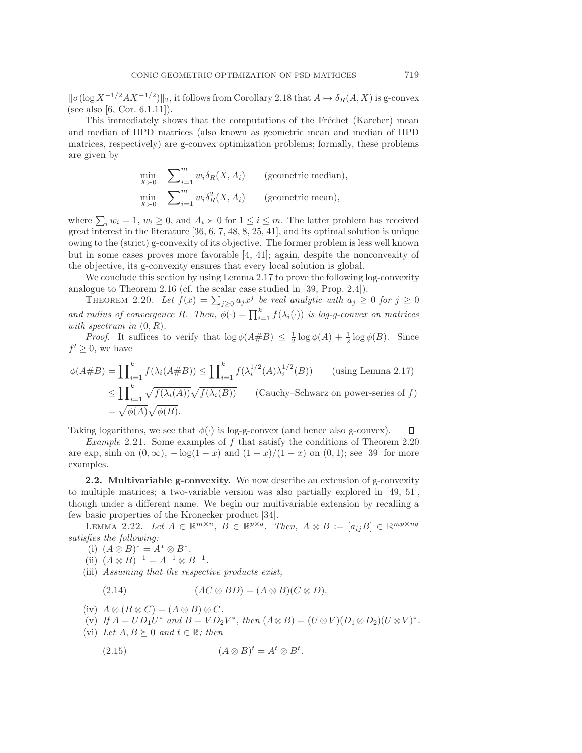$\|\sigma(\log X^{-1/2}AX^{-1/2})\|_2$ , it follows from Corollary [2.18](#page-5-4) that  $A \mapsto \delta_R(A, X)$  is g-convex (see also [\[6,](#page-25-11) Cor. 6.1.11]).

This immediately shows that the computations of the Fréchet (Karcher) mean and median of HPD matrices (also known as geometric mean and median of HPD matrices, respectively) are g-convex optimization problems; formally, these problems are given by

$$
\min_{X \succ 0} \sum_{i=1}^{m} w_i \delta_R(X, A_i) \qquad \text{(geometric median)},
$$
\n
$$
\min_{X \succ 0} \sum_{i=1}^{m} w_i \delta_R^2(X, A_i) \qquad \text{(geometric mean)},
$$

where  $\sum_i w_i = 1, w_i \ge 0$ , and  $A_i \succ 0$  for  $1 \le i \le m$ . The latter problem has received great interest in the literature [\[36,](#page-26-17) [6,](#page-25-11) [7,](#page-25-3) [48,](#page-26-2) [8,](#page-25-4) [25,](#page-26-3) [41\]](#page-26-4), and its optimal solution is unique owing to the (strict) g-convexity of its objective. The former problem is less well known but in some cases proves more favorable [\[4,](#page-25-17) [41\]](#page-26-4); again, despite the nonconvexity of the objective, its g-convexity ensures that every local solution is global.

We conclude this section by using Lemma [2.17](#page-5-1) to prove the following log-convexity analogue to Theorem [2.16](#page-5-0) (cf. the scalar case studied in [\[39,](#page-26-18) Prop. 2.4]).

<span id="page-6-0"></span>THEOREM 2.20. Let  $f(x) = \sum_{j\geq 0} a_j x^j$  be real analytic with  $a_j \geq 0$  for  $j \geq 0$ *and radius of convergence* R. Then,  $\phi(\cdot) = \prod_{i=1}^{k} f(\lambda_i(\cdot))$  *is log-g-convex on matrices with spectrum in* (0, R)*.*

*Proof.* It suffices to verify that  $\log \phi(A \# B) \leq \frac{1}{2} \log \phi(A) + \frac{1}{2} \log \phi(B)$ . Since  $f' \geq 0$ , we have

$$
\phi(A\#B) = \prod_{i=1}^{k} f(\lambda_i(A\#B)) \le \prod_{i=1}^{k} f(\lambda_i^{1/2}(A)\lambda_i^{1/2}(B)) \qquad \text{(using Lemma 2.17)}
$$

$$
\le \prod_{i=1}^{k} \sqrt{f(\lambda_i(A))} \sqrt{f(\lambda_i(B))} \qquad \text{(Cauchy–Schwarz on power-series of } f)
$$

$$
= \sqrt{\phi(A)} \sqrt{\phi(B)}.
$$

Taking logarithms, we see that  $\phi(\cdot)$  is log-g-convex (and hence also g-convex).  $\Box$ 

*Example* 2.21. Some examples of f that satisfy the conditions of Theorem [2.20](#page-6-0) are exp, sinh on  $(0, \infty)$ ,  $-\log(1-x)$  and  $(1+x)/(1-x)$  on  $(0, 1)$ ; see [\[39\]](#page-26-18) for more examples.

**2.2. Multivariable g-convexity.** We now describe an extension of g-convexity to multiple matrices; a two-variable version was also partially explored in [\[49,](#page-26-1) [51\]](#page-26-12), though under a different name. We begin our multivariable extension by recalling a few basic properties of the Kronecker product [\[34\]](#page-26-19).

<span id="page-6-1"></span>LEMMA 2.22. Let  $A \in \mathbb{R}^{m \times n}$ ,  $B \in \mathbb{R}^{p \times q}$ . Then,  $A \otimes B := [a_{ij}B] \in \mathbb{R}^{mp \times nq}$ *satisfies the following:*

- (i)  $(A \otimes B)^* = A^* \otimes B^*$ .
- (ii)  $(A \otimes B)^{-1} = A^{-1} \otimes B^{-1}$ .
- (iii) *Assuming that the respective products exist,*

$$
(2.14) \qquad (AC \otimes BD) = (A \otimes B)(C \otimes D).
$$

- (iv)  $A \otimes (B \otimes C) = (A \otimes B) \otimes C$ .
- (v) *If*  $A = UD_1U^*$  *and*  $B = VD_2V^*$ *, then*  $(A \otimes B) = (U \otimes V)(D_1 \otimes D_2)(U \otimes V)^*$ *.*
- (vi) Let  $A, B \succeq 0$  and  $t \in \mathbb{R}$ ; then

<span id="page-6-2"></span>
$$
(2.15) \qquad (A \otimes B)^t = A^t \otimes B^t.
$$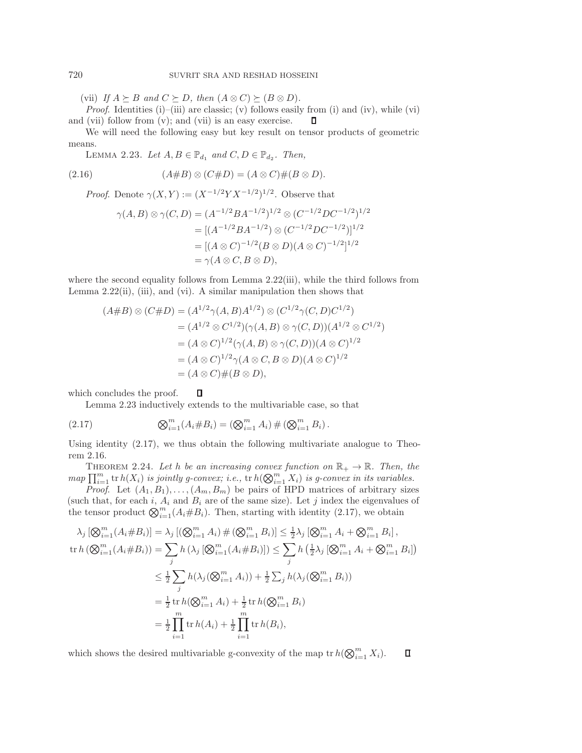(vii) *If*  $A \succeq B$  *and*  $C \succeq D$ *, then*  $(A \otimes C) \succeq (B \otimes D)$ *.* 

*Proof.* Identities (i)–(iii) are classic; (v) follows easily from (i) and (iv), while (vi) and (vii) follow from (v); and (vii) is an easy exercise.  $\Box$ 

<span id="page-7-0"></span>We will need the following easy but key result on tensor products of geometric means.

LEMMA 2.23. Let  $A, B \in \mathbb{P}_{d_1}$  and  $C, D \in \mathbb{P}_{d_2}$ . Then,

$$
(2.16) \qquad (A \# B) \otimes (C \# D) = (A \otimes C) \# (B \otimes D).
$$

*Proof.* Denote  $\gamma(X, Y) := (X^{-1/2}Y X^{-1/2})^{1/2}$ . Observe that

$$
\gamma(A,B) \otimes \gamma(C,D) = (A^{-1/2}BA^{-1/2})^{1/2} \otimes (C^{-1/2}DC^{-1/2})^{1/2}
$$
  
= 
$$
[(A^{-1/2}BA^{-1/2}) \otimes (C^{-1/2}DC^{-1/2})]^{1/2}
$$
  
= 
$$
[(A \otimes C)^{-1/2}(B \otimes D)(A \otimes C)^{-1/2}]^{1/2}
$$
  
= 
$$
\gamma(A \otimes C, B \otimes D),
$$

where the second equality follows from Lemma [2.22\(](#page-6-1)iii), while the third follows from Lemma  $2.22(ii)$ , (iii), and (vi). A similar manipulation then shows that

<span id="page-7-1"></span>
$$
(A \# B) \otimes (C \# D) = (A^{1/2} \gamma(A, B) A^{1/2}) \otimes (C^{1/2} \gamma(C, D) C^{1/2})
$$
  
=  $(A^{1/2} \otimes C^{1/2}) (\gamma(A, B) \otimes \gamma(C, D)) (A^{1/2} \otimes C^{1/2})$   
=  $(A \otimes C)^{1/2} (\gamma(A, B) \otimes \gamma(C, D)) (A \otimes C)^{1/2}$   
=  $(A \otimes C)^{1/2} \gamma(A \otimes C, B \otimes D) (A \otimes C)^{1/2}$   
=  $(A \otimes C) \# (B \otimes D),$ 

 $\Box$ which concludes the proof.

Lemma [2.23](#page-7-0) inductively extends to the multivariable case, so that

(2.17) 
$$
\bigotimes_{i=1}^{m} (A_i \# B_i) = (\bigotimes_{i=1}^{m} A_i) \# (\bigotimes_{i=1}^{m} B_i).
$$

Using identity [\(2.17\)](#page-7-1), we thus obtain the following multivariate analogue to Theorem [2.16.](#page-5-0)

THEOREM 2.24. Let h be an increasing convex function on  $\mathbb{R}_+ \to \mathbb{R}$ . Then, the  $map \prod_{i=1}^m \text{tr } h(X_i)$  *is jointly g-convex; i.e.*,  $\text{tr } h(\bigotimes_{i=1}^m X_i)$  *is g-convex in its variables.* 

*Proof.* Let  $(A_1, B_1), \ldots, (A_m, B_m)$  be pairs of HPD matrices of arbitrary sizes (such that, for each i,  $A_i$  and  $B_i$  are of the same size). Let j index the eigenvalues of the tensor product  $\bigotimes_{i=1}^{m} (A_i \# B_i)$ . Then, starting with identity [\(2.17\)](#page-7-1), we obtain

$$
\lambda_{j} [\bigotimes_{i=1}^{m} (A_{i} \# B_{i})] = \lambda_{j} [(\bigotimes_{i=1}^{m} A_{i}) \# (\bigotimes_{i=1}^{m} B_{i})] \leq \frac{1}{2} \lambda_{j} [\bigotimes_{i=1}^{m} A_{i} + \bigotimes_{i=1}^{m} B_{i}],
$$
  
\n
$$
\text{tr } h (\bigotimes_{i=1}^{m} (A_{i} \# B_{i}) ) = \sum_{j} h (\lambda_{j} [\bigotimes_{i=1}^{m} (A_{i} \# B_{i})]) \leq \sum_{j} h (\frac{1}{2} \lambda_{j} [\bigotimes_{i=1}^{m} A_{i} + \bigotimes_{i=1}^{m} B_{i}])
$$
  
\n
$$
\leq \frac{1}{2} \sum_{j} h (\lambda_{j} (\bigotimes_{i=1}^{m} A_{i})) + \frac{1}{2} \sum_{j} h (\lambda_{j} (\bigotimes_{i=1}^{m} B_{i}))
$$
  
\n
$$
= \frac{1}{2} \text{tr } h (\bigotimes_{i=1}^{m} A_{i}) + \frac{1}{2} \text{tr } h (\bigotimes_{i=1}^{m} B_{i})
$$
  
\n
$$
= \frac{1}{2} \prod_{i=1}^{m} \text{tr } h(A_{i}) + \frac{1}{2} \prod_{i=1}^{m} \text{tr } h(B_{i}),
$$

which shows the desired multivariable g-convexity of the map  $tr h(\bigotimes_{i=1}^{m} X_i)$ .  $\Box$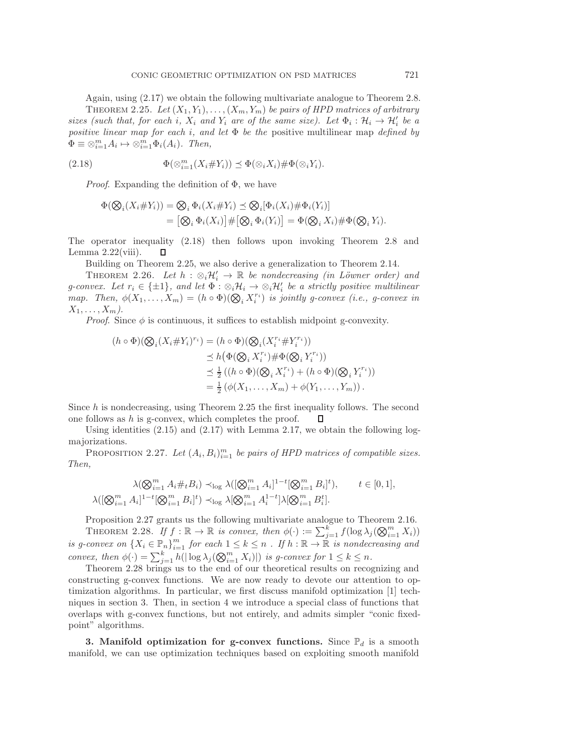<span id="page-8-2"></span>Again, using [\(2.17\)](#page-7-1) we obtain the following multivariate analogue to Theorem [2.8.](#page-3-3) THEOREM 2.25. Let  $(X_1, Y_1), \ldots, (X_m, Y_m)$  be pairs of HPD matrices of arbitrary *sizes (such that, for each i,*  $X_i$  *and*  $Y_i$  *are of the same size). Let*  $\Phi_i : \mathcal{H}_i \to \mathcal{H}'_i$  *be a positive linear map for each* i*, and let* Φ *be the* positive multilinear map *defined by*  $\Phi \equiv \otimes_{i=1}^m A_i \mapsto \otimes_{i=1}^m \Phi_i(A_i)$ *. Then,* 

$$
(2.18) \t\t \Phi(\otimes_{i=1}^m (X_i \# Y_i)) \preceq \Phi(\otimes_i X_i) \# \Phi(\otimes_i Y_i).
$$

*Proof*. Expanding the definition of Φ, we have

<span id="page-8-1"></span>
$$
\Phi(\bigotimes_i (X_i \# Y_i)) = \bigotimes_i \Phi_i(X_i \# Y_i) \preceq \bigotimes_i [\Phi_i(X_i) \# \Phi_i(Y_i)]
$$
  
= 
$$
[\bigotimes_i \Phi_i(X_i)] \# [\bigotimes_i \Phi_i(Y_i)] = \Phi(\bigotimes_i X_i) \# \Phi(\bigotimes_i Y_i).
$$

The operator inequality [\(2.18\)](#page-8-1) then follows upon invoking Theorem [2.8](#page-3-3) and Lemma  $2.22$ (viii). Л

Building on Theorem [2.25,](#page-8-2) we also derive a generalization to Theorem [2.14.](#page-4-1)

THEOREM 2.26. Let  $h : \otimes_i \mathcal{H}'_i \to \mathbb{R}$  be nondecreasing (in Löwner order) and *g*-convex. Let  $r_i \in \{\pm 1\}$ , and let  $\Phi : \otimes_i \mathcal{H}_i \to \otimes_i \mathcal{H}'_i$  be a strictly positive multilinear *map.* Then,  $\phi(X_1, \ldots, X_m) = (h \circ \Phi)(\bigotimes_i X_i^{r_i})$  is jointly g-convex (i.e., g-convex in  $X_1,\ldots,X_m$ ).

*Proof.* Since  $\phi$  is continuous, it suffices to establish midpoint g-convexity.

$$
(h \circ \Phi)(\bigotimes_i (X_i \# Y_i)^{r_i}) = (h \circ \Phi)(\bigotimes_i (X_i^{r_i} \# Y_i^{r_i}))
$$
  
\n
$$
\leq h(\Phi(\bigotimes_i X_i^{r_i}) \# \Phi(\bigotimes_i Y_i^{r_i}))
$$
  
\n
$$
\leq \frac{1}{2} ((h \circ \Phi)(\bigotimes_i X_i^{r_i}) + (h \circ \Phi)(\bigotimes_i Y_i^{r_i}))
$$
  
\n
$$
= \frac{1}{2} (\phi(X_1, \dots, X_m) + \phi(Y_1, \dots, Y_m)).
$$

Since h is nondecreasing, using Theorem [2.25](#page-8-2) the first inequality follows. The second one follows as  $h$  is g-convex, which completes the proof. П

Using identities  $(2.15)$  and  $(2.17)$  with Lemma [2.17,](#page-5-1) we obtain the following logmajorizations.

PROPOSITION 2.27. Let  $(A_i, B_i)_{i=1}^m$  be pairs of HPD matrices of compatible sizes. *Then,*

<span id="page-8-3"></span>
$$
\lambda(\bigotimes_{i=1}^{m} A_{i} \#_{t} B_{i}) \prec_{\text{log}} \lambda([\bigotimes_{i=1}^{m} A_{i}]^{1-t} [\bigotimes_{i=1}^{m} B_{i}]^{t}), \qquad t \in [0, 1],
$$
  

$$
\lambda([\bigotimes_{i=1}^{m} A_{i}]^{1-t} [\bigotimes_{i=1}^{m} B_{i}]^{t}) \prec_{\text{log}} \lambda[\bigotimes_{i=1}^{m} A_{i}^{1-t}] \lambda[\bigotimes_{i=1}^{m} B_{i}^{t}].
$$

<span id="page-8-4"></span>Proposition [2.27](#page-8-3) grants us the following multivariate analogue to Theorem [2.16.](#page-5-0) THEOREM 2.28. *If*  $f : \mathbb{R} \to \mathbb{R}$  *is convex, then*  $\phi(\cdot) := \sum_{j=1}^{k^{\infty}} f(\log \lambda_j(\bigotimes_{i=1}^{m} X_i))$ *is g-convex on*  $\{X_i \in \mathbb{P}_n\}_{i=1}^m$  *for each*  $1 \leq k \leq n$  *. If*  $h : \mathbb{R} \to \mathbb{R}$  *is nondecreasing and convex, then*  $\phi(\cdot) = \sum_{j=1}^k h(|\log \lambda_j(\otimes_{i=1}^m X_i)|)$  *is g-convex for*  $1 \leq k \leq n$ *.* 

Theorem [2.28](#page-8-4) brings us to the end of our theoretical results on recognizing and constructing g-convex functions. We are now ready to devote our attention to optimization algorithms. In particular, we first discuss manifold optimization [\[1\]](#page-25-18) techniques in section [3.](#page-8-0) Then, in section [4](#page-10-0) we introduce a special class of functions that overlaps with g-convex functions, but not entirely, and admits simpler "conic fixedpoint" algorithms.

<span id="page-8-0"></span>**3. Manifold optimization for g-convex functions.** Since  $\mathbb{P}_d$  is a smooth manifold, we can use optimization techniques based on exploiting smooth manifold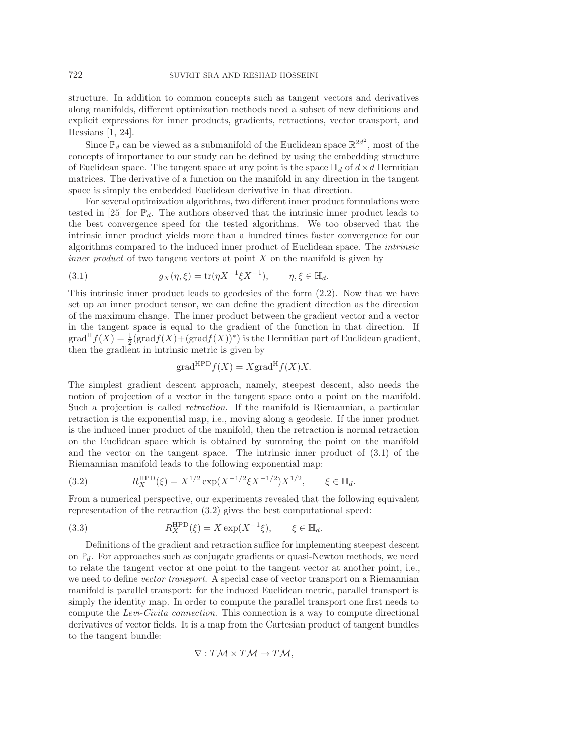structure. In addition to common concepts such as tangent vectors and derivatives along manifolds, different optimization methods need a subset of new definitions and explicit expressions for inner products, gradients, retractions, vector transport, and Hessians [\[1,](#page-25-18) [24\]](#page-26-20).

Since  $\mathbb{P}_d$  can be viewed as a submanifold of the Euclidean space  $\mathbb{R}^{2d^2}$ , most of the concepts of importance to our study can be defined by using the embedding structure of Euclidean space. The tangent space at any point is the space  $\mathbb{H}_d$  of  $d \times d$  Hermitian matrices. The derivative of a function on the manifold in any direction in the tangent space is simply the embedded Euclidean derivative in that direction.

For several optimization algorithms, two different inner product formulations were tested in [\[25\]](#page-26-3) for  $\mathbb{P}_d$ . The authors observed that the intrinsic inner product leads to the best convergence speed for the tested algorithms. We too observed that the intrinsic inner product yields more than a hundred times faster convergence for our algorithms compared to the induced inner product of Euclidean space. The *intrinsic inner product* of two tangent vectors at point X on the manifold is given by

<span id="page-9-0"></span>(3.1) 
$$
g_X(\eta, \xi) = \text{tr}(\eta X^{-1} \xi X^{-1}), \qquad \eta, \xi \in \mathbb{H}_d.
$$

This intrinsic inner product leads to geodesics of the form [\(2.2\)](#page-2-0). Now that we have set up an inner product tensor, we can define the gradient direction as the direction of the maximum change. The inner product between the gradient vector and a vector in the tangent space is equal to the gradient of the function in that direction. If  $\operatorname{grad}^H f(X) = \frac{1}{2}(\operatorname{grad} f(X) + (\operatorname{grad} f(X))^*)$  is the Hermitian part of Euclidean gradient, then the gradient in intrinsic metric is given by

$$
\operatorname{grad}^{\mathrm{HPD}} f(X) = X \operatorname{grad}^{\mathrm{H}} f(X) X.
$$

The simplest gradient descent approach, namely, steepest descent, also needs the notion of projection of a vector in the tangent space onto a point on the manifold. Such a projection is called *retraction*. If the manifold is Riemannian, a particular retraction is the exponential map, i.e., moving along a geodesic. If the inner product is the induced inner product of the manifold, then the retraction is normal retraction on the Euclidean space which is obtained by summing the point on the manifold and the vector on the tangent space. The intrinsic inner product of [\(3.1\)](#page-9-0) of the Riemannian manifold leads to the following exponential map:

<span id="page-9-1"></span>(3.2) 
$$
R_X^{\text{HPD}}(\xi) = X^{1/2} \exp(X^{-1/2} \xi X^{-1/2}) X^{1/2}, \quad \xi \in \mathbb{H}_d.
$$

From a numerical perspective, our experiments revealed that the following equivalent representation of the retraction [\(3.2\)](#page-9-1) gives the best computational speed:

(3.3) 
$$
R_X^{\text{HPD}}(\xi) = X \exp(X^{-1}\xi), \qquad \xi \in \mathbb{H}_d.
$$

Definitions of the gradient and retraction suffice for implementing steepest descent on  $\mathbb{P}_d$ . For approaches such as conjugate gradients or quasi-Newton methods, we need to relate the tangent vector at one point to the tangent vector at another point, i.e., we need to define *vector transport*. A special case of vector transport on a Riemannian manifold is parallel transport: for the induced Euclidean metric, parallel transport is simply the identity map. In order to compute the parallel transport one first needs to compute the *Levi-Civita connection*. This connection is a way to compute directional derivatives of vector fields. It is a map from the Cartesian product of tangent bundles to the tangent bundle:

$$
\nabla: T\mathcal{M} \times T\mathcal{M} \to T\mathcal{M},
$$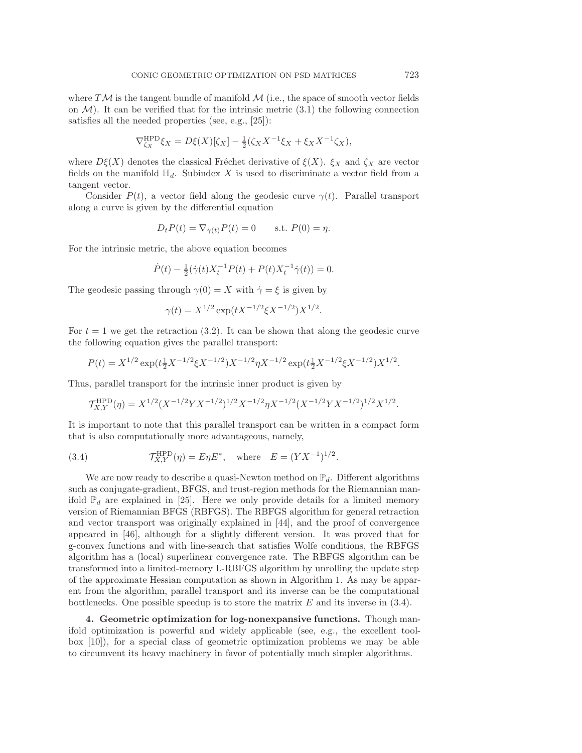where  $T\mathcal{M}$  is the tangent bundle of manifold  $\mathcal{M}$  (i.e., the space of smooth vector fields on  $\mathcal{M}$ ). It can be verified that for the intrinsic metric [\(3.1\)](#page-9-0) the following connection satisfies all the needed properties (see, e.g., [\[25\]](#page-26-3)):

$$
\nabla_{\zeta_X}^{\text{HPD}} \xi_X = D\xi(X)[\zeta_X] - \frac{1}{2}(\zeta_X X^{-1} \xi_X + \xi_X X^{-1} \zeta_X),
$$

where  $D\xi(X)$  denotes the classical Fréchet derivative of  $\xi(X)$ .  $\xi_X$  and  $\zeta_X$  are vector fields on the manifold  $\mathbb{H}_d$ . Subindex X is used to discriminate a vector field from a tangent vector.

Consider  $P(t)$ , a vector field along the geodesic curve  $\gamma(t)$ . Parallel transport along a curve is given by the differential equation

$$
D_t P(t) = \nabla_{\dot{\gamma}(t)} P(t) = 0 \quad \text{s.t. } P(0) = \eta.
$$

For the intrinsic metric, the above equation becomes

$$
\dot{P}(t) - \frac{1}{2}(\dot{\gamma}(t)X_t^{-1}P(t) + P(t)X_t^{-1}\dot{\gamma}(t)) = 0.
$$

The geodesic passing through  $\gamma(0) = X$  with  $\dot{\gamma} = \xi$  is given by

<span id="page-10-1"></span>
$$
\gamma(t) = X^{1/2} \exp(tX^{-1/2}\xi X^{-1/2}) X^{1/2}.
$$

For  $t = 1$  we get the retraction [\(3.2\)](#page-9-1). It can be shown that along the geodesic curve the following equation gives the parallel transport:

$$
P(t) = X^{1/2} \exp(t \frac{1}{2} X^{-1/2} \xi X^{-1/2}) X^{-1/2} \eta X^{-1/2} \exp(t \frac{1}{2} X^{-1/2} \xi X^{-1/2}) X^{1/2}.
$$

Thus, parallel transport for the intrinsic inner product is given by

$$
\mathcal{T}^{\mathrm{HPD}}_{X,Y}(\eta)=X^{1/2}(X^{-1/2}YX^{-1/2})^{1/2}X^{-1/2}\eta X^{-1/2}(X^{-1/2}YX^{-1/2})^{1/2}X^{1/2}.
$$

It is important to note that this parallel transport can be written in a compact form that is also computationally more advantageous, namely,

(3.4) 
$$
\mathcal{T}_{X,Y}^{\text{HPD}}(\eta) = E\eta E^*, \text{ where } E = (YX^{-1})^{1/2}.
$$

We are now ready to describe a quasi-Newton method on  $\mathbb{P}_d$ . Different algorithms such as conjugate-gradient, BFGS, and trust-region methods for the Riemannian manifold  $\mathbb{P}_d$  are explained in [\[25\]](#page-26-3). Here we only provide details for a limited memory version of Riemannian BFGS (RBFGS). The RBFGS algorithm for general retraction and vector transport was originally explained in [\[44\]](#page-26-21), and the proof of convergence appeared in [\[46\]](#page-26-22), although for a slightly different version. It was proved that for g-convex functions and with line-search that satisfies Wolfe conditions, the RBFGS algorithm has a (local) superlinear convergence rate. The RBFGS algorithm can be transformed into a limited-memory L-RBFGS algorithm by unrolling the update step of the approximate Hessian computation as shown in Algorithm [1.](#page-11-0) As may be apparent from the algorithm, parallel transport and its inverse can be the computational bottlenecks. One possible speedup is to store the matrix  $E$  and its inverse in [\(3.4\)](#page-10-1).

<span id="page-10-0"></span>**4. Geometric optimization for log-nonexpansive functions.** Though manifold optimization is powerful and widely applicable (see, e.g., the excellent toolbox [\[10\]](#page-25-19)), for a special class of geometric optimization problems we may be able to circumvent its heavy machinery in favor of potentially much simpler algorithms.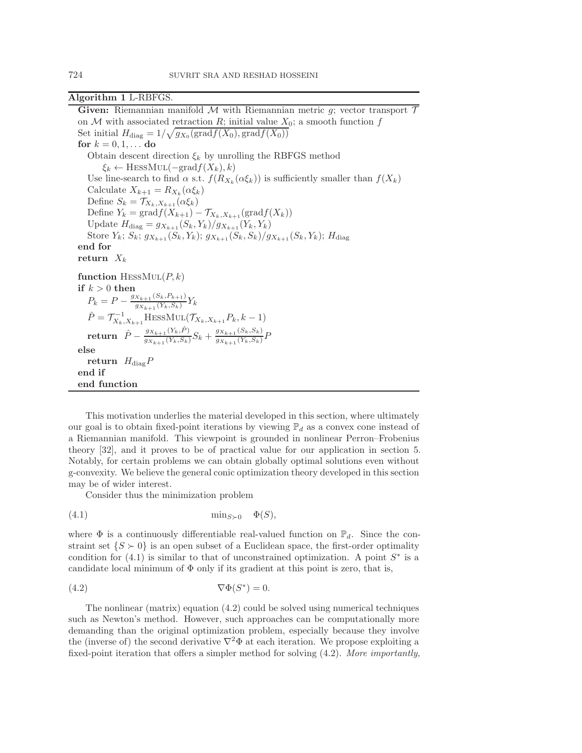<span id="page-11-0"></span>**Algorithm 1** L-RBFGS.

**Given:** Riemannian manifold  $M$  with Riemannian metric  $g$ ; vector transport  $T$ on M with associated retraction R; initial value  $X_0$ ; a smooth function f Set initial  $H_{\text{diag}} = 1/\sqrt{g_{X_0}(\text{grad}f(X_0), \text{grad}f(X_0))}$ **for**  $k = 0, 1, ...$  **do** Obtain descent direction  $\xi_k$  by unrolling the RBFGS method  $\xi_k \leftarrow \text{HESSMUL}(-\text{grad}f(X_k), k)$ Use line-search to find  $\alpha$  s.t.  $f(R_{X_k}(\alpha \xi_k))$  is sufficiently smaller than  $f(X_k)$ Calculate  $X_{k+1} = R_{X_k}(\alpha \xi_k)$ Define  $S_k = \mathcal{T}_{X_k, X_{k+1}}(\alpha \xi_k)$ Define  $Y_k = \text{grad} f(X_{k+1}) - \mathcal{T}_{X_k, X_{k+1}}(\text{grad} f(X_k))$ Update  $H_{\text{diag}} = g_{X_{k+1}}(S_k, Y_k)/g_{X_{k+1}}(Y_k, Y_k)$ Store  $Y_k$ ;  $S_k$ ;  $g_{X_{k+1}}(S_k, Y_k)$ ;  $g_{X_{k+1}}(S_k, S_k)/g_{X_{k+1}}(S_k, Y_k)$ ;  $H_{\text{diag}}$ **end for return**  $X_k$ **function** HESS $MUL(P, k)$ **if**  $k > 0$  **then**  $P_k = P - \frac{g_{X_{k+1}}(S_k, P_{k+1})}{g_{X_{k+1}}(Y_k, S_k)} Y_k$  $\hat{P} = \mathcal{T}_{X_k, X_{k+1}}^{-1}$ HESSMUL $(\mathcal{T}_{X_k, X_{k+1}} P_k, k-1)$  $\textbf{return} \;\; \hat{P} - \frac{g_{X_{k+1}}(Y_k,\hat{P})}{g_{X_{k+1}}(Y_k,S_k)}S_k + \frac{g_{X_{k+1}}(S_k,S_k)}{g_{X_{k+1}}(Y_k,S_k)}P$ **else return**  $H_{\text{diag}}P$ **end if end function**

This motivation underlies the material developed in this section, where ultimately our goal is to obtain fixed-point iterations by viewing  $\mathbb{P}_d$  as a convex cone instead of a Riemannian manifold. This viewpoint is grounded in nonlinear Perron–Frobenius theory [\[32\]](#page-26-7), and it proves to be of practical value for our application in section [5.](#page-18-0) Notably, for certain problems we can obtain globally optimal solutions even without g-convexity. We believe the general conic optimization theory developed in this section may be of wider interest.

<span id="page-11-2"></span><span id="page-11-1"></span>Consider thus the minimization problem

$$
(4.1) \tmin_{S \succ 0} \Phi(S),
$$

where  $\Phi$  is a continuously differentiable real-valued function on  $\mathbb{P}_d$ . Since the constraint set  $\{S \succ 0\}$  is an open subset of a Euclidean space, the first-order optimality condition for  $(4.1)$  is similar to that of unconstrained optimization. A point  $S^*$  is a candidate local minimum of  $\Phi$  only if its gradient at this point is zero, that is,

$$
\nabla \Phi(S^*) = 0.
$$

The nonlinear (matrix) equation [\(4.2\)](#page-11-2) could be solved using numerical techniques such as Newton's method. However, such approaches can be computationally more demanding than the original optimization problem, especially because they involve the (inverse of) the second derivative  $\nabla^2 \Phi$  at each iteration. We propose exploiting a fixed-point iteration that offers a simpler method for solving [\(4.2\)](#page-11-2). *More importantly,*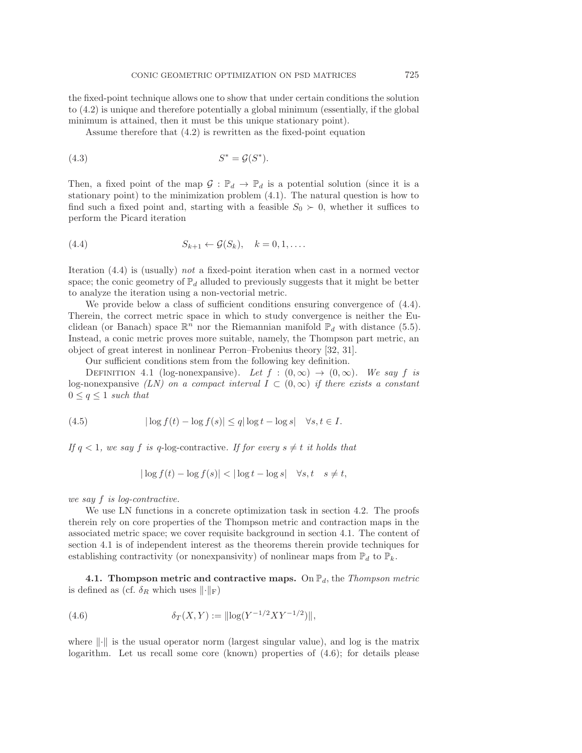the fixed-point technique allows one to show that under certain conditions the solution to [\(4.2\)](#page-11-2) is unique and therefore potentially a global minimum (essentially, if the global minimum is attained, then it must be this unique stationary point).

<span id="page-12-4"></span>Assume therefore that [\(4.2\)](#page-11-2) is rewritten as the fixed-point equation

$$
(4.3) \tS^* = \mathcal{G}(S^*).
$$

Then, a fixed point of the map  $\mathcal{G}: \mathbb{P}_d \to \mathbb{P}_d$  is a potential solution (since it is a stationary point) to the minimization problem [\(4.1\)](#page-11-1). The natural question is how to find such a fixed point and, starting with a feasible  $S_0 \succ 0$ , whether it suffices to perform the Picard iteration

<span id="page-12-0"></span>
$$
(4.4) \t S_{k+1} \leftarrow \mathcal{G}(S_k), \quad k = 0, 1, \dots.
$$

Iteration [\(4.4\)](#page-12-0) is (usually) *not* a fixed-point iteration when cast in a normed vector space; the conic geometry of  $\mathbb{P}_d$  alluded to previously suggests that it might be better to analyze the iteration using a non-vectorial metric.

We provide below a class of sufficient conditions ensuring convergence of  $(4.4)$ . Therein, the correct metric space in which to study convergence is neither the Euclidean (or Banach) space  $\mathbb{R}^n$  nor the Riemannian manifold  $\mathbb{P}_d$  with distance [\(5.5\)](#page-20-0). Instead, a conic metric proves more suitable, namely, the Thompson part metric, an object of great interest in nonlinear Perron–Frobenius theory [\[32,](#page-26-7) [31\]](#page-26-6).

<span id="page-12-3"></span>Our sufficient conditions stem from the following key definition.

DEFINITION 4.1 (log-nonexpansive). Let  $f : (0, \infty) \to (0, \infty)$ . We say f is log-nonexpansive *(LN)* on a compact interval  $I \subset (0,\infty)$  if there exists a constant  $0 \leq q \leq 1$  *such that* 

$$
(4.5) \t |\log f(t) - \log f(s)| \le q |\log t - \log s| \quad \forall s, t \in I.
$$

*If*  $q < 1$ *, we say f is* q-log-contractive. *If for every*  $s \neq t$  *it holds that* 

<span id="page-12-2"></span>
$$
|\log f(t) - \log f(s)| < |\log t - \log s| \quad \forall s, t \quad s \neq t,
$$

*we say* f *is log-contractive.*

We use LN functions in a concrete optimization task in section [4.2.](#page-16-0) The proofs therein rely on core properties of the Thompson metric and contraction maps in the associated metric space; we cover requisite background in section [4.1.](#page-12-1) The content of section [4.1](#page-12-1) is of independent interest as the theorems therein provide techniques for establishing contractivity (or nonexpansivity) of nonlinear maps from  $\mathbb{P}_d$  to  $\mathbb{P}_k$ .

<span id="page-12-1"></span>**4.1. Thompson metric and contractive maps.** On  $\mathbb{P}_d$ , the *Thompson metric* is defined as (cf.  $\delta_R$  which uses  $\lVert \cdot \rVert_F$ )

(4.6) 
$$
\delta_T(X,Y) := ||\log(Y^{-1/2}XY^{-1/2})||,
$$

where  $\|\cdot\|$  is the usual operator norm (largest singular value), and log is the matrix logarithm. Let us recall some core (known) properties of  $(4.6)$ ; for details please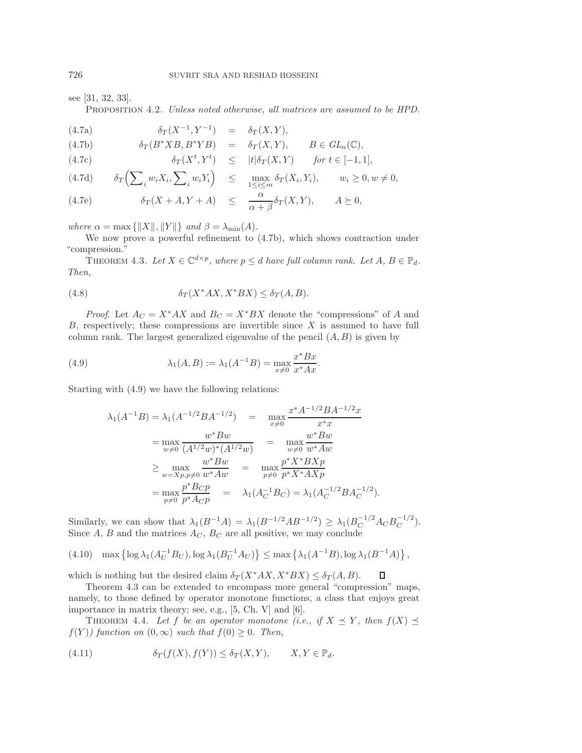see [\[31,](#page-26-6) [32,](#page-26-7) [33\]](#page-26-23).

Proposition 4.2. *Unless noted otherwise, all matrices are assumed to be HPD.*

<span id="page-13-5"></span>(4.7a) 
$$
\delta_T(X^{-1}, Y^{-1}) = \delta_T(X, Y),
$$

<span id="page-13-0"></span>(4.7b) 
$$
\delta_T(B^*XB, B^*YB) = \delta_T(X, Y), \qquad B \in GL_n(\mathbb{C}),
$$

(4.7c) 
$$
\delta_T(X^t, Y^t) \leq |t| \delta_T(X, Y) \quad \text{for } t \in [-1, 1],
$$

<span id="page-13-4"></span>
$$
(4.7d) \t\t \delta_T\Big(\sum_i w_i X_i, \sum_i w_i Y_i\Big) \leq \max_{1 \leq i \leq m} \delta_T(X_i, Y_i), \t\t w_i \geq 0, w \neq 0,
$$

(4.7e) 
$$
\delta_T(X + A, Y + A) \leq \frac{\alpha}{\alpha + \beta} \delta_T(X, Y), \qquad A \succeq 0,
$$

*where*  $\alpha = \max \{||X||, ||Y||\}$  *and*  $\beta = \lambda_{\min}(A)$ *.* 

We now prove a powerful refinement to [\(4.7b\)](#page-13-0), which shows contraction under "compression."

<span id="page-13-2"></span>THEOREM 4.3. Let  $X \in \mathbb{C}^{d \times p}$ , where  $p \leq d$  have full column rank. Let  $A, B \in \mathbb{P}_d$ . *Then,*

(4.8) 
$$
\delta_T(X^*AX, X^*BX) \le \delta_T(A, B).
$$

*Proof.* Let  $A_C = X^* A X$  and  $B_C = X^* B X$  denote the "compressions" of A and  $B$ , respectively; these compressions are invertible since  $X$  is assumed to have full column rank. The largest generalized eigenvalue of the pencil  $(A, B)$  is given by

(4.9) 
$$
\lambda_1(A, B) := \lambda_1(A^{-1}B) = \max_{x \neq 0} \frac{x^* B x}{x^* A x}.
$$

Starting with [\(4.9\)](#page-13-1) we have the following relations:

<span id="page-13-1"></span>
$$
\lambda_1(A^{-1}B) = \lambda_1(A^{-1/2}BA^{-1/2}) = \max_{x \neq 0} \frac{x^* A^{-1/2}BA^{-1/2}x}{x^*x}
$$
  
\n
$$
= \max_{w \neq 0} \frac{w^* Bw}{(A^{1/2}w)^*(A^{1/2}w)} = \max_{w \neq 0} \frac{w^* Bw}{w^* A w}
$$
  
\n
$$
\geq \max_{w = Xp, p \neq 0} \frac{w^* Bw}{w^* A w} = \max_{p \neq 0} \frac{p^* X^* B X p}{p^* X^* A X p}
$$
  
\n
$$
= \max_{p \neq 0} \frac{p^* B_C p}{p^* A_C p} = \lambda_1(A_C^{-1} B_C) = \lambda_1(A_C^{-1/2} B A_C^{-1/2}).
$$

Similarly, we can show that  $\lambda_1(B^{-1}A) = \lambda_1(B^{-1/2}AB^{-1/2}) \geq \lambda_1(B_C^{-1/2}A_CB_C^{-1/2}).$ Since  $A, B$  and the matrices  $A_C, B_C$  are all positive, we may conclude

$$
(4.10) \quad \max\left\{\log \lambda_1(A_U^{-1}B_U), \log \lambda_1(B_U^{-1}A_U)\right\} \leq \max\left\{\lambda_1(A^{-1}B), \log \lambda_1(B^{-1}A)\right\},\,
$$

which is nothing but the desired claim  $\delta_T(X^*AX, X^*BX) \leq \delta_T(A, B)$ . Д

Theorem [4.3](#page-13-2) can be extended to encompass more general "compression" maps, namely, to those defined by operator monotone functions, a class that enjoys great importance in matrix theory; see, e.g., [\[5,](#page-25-13) Ch. V] and [\[6\]](#page-25-11).

<span id="page-13-3"></span>THEOREM 4.4. Let f be an operator monotone (i.e., if  $X \preceq Y$ , then  $f(X) \preceq$  $f(Y)$  function on  $(0, \infty)$  *such that*  $f(0) \geq 0$ *. Then,* 

(4.11) 
$$
\delta_T(f(X), f(Y)) \leq \delta_T(X, Y), \qquad X, Y \in \mathbb{P}_d.
$$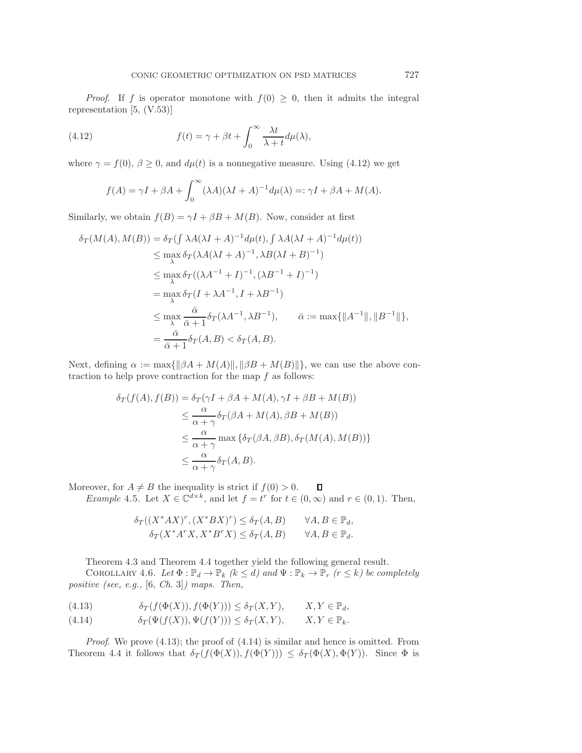*Proof.* If f is operator monotone with  $f(0) \geq 0$ , then it admits the integral representation [\[5,](#page-25-13) (V.53)]

(4.12) 
$$
f(t) = \gamma + \beta t + \int_0^\infty \frac{\lambda t}{\lambda + t} d\mu(\lambda),
$$

where  $\gamma = f(0), \beta \ge 0$ , and  $d\mu(t)$  is a nonnegative measure. Using [\(4.12\)](#page-14-0) we get

<span id="page-14-0"></span>
$$
f(A) = \gamma I + \beta A + \int_0^\infty (\lambda A)(\lambda I + A)^{-1} d\mu(\lambda) =: \gamma I + \beta A + M(A).
$$

Similarly, we obtain  $f(B) = \gamma I + \beta B + M(B)$ . Now, consider at first

$$
\delta_T(M(A), M(B)) = \delta_T(\int \lambda A(\lambda I + A)^{-1} d\mu(t), \int \lambda A(\lambda I + A)^{-1} d\mu(t))
$$
  
\n
$$
\leq \max_{\lambda} \delta_T(\lambda A(\lambda I + A)^{-1}, \lambda B(\lambda I + B)^{-1})
$$
  
\n
$$
\leq \max_{\lambda} \delta_T((\lambda A^{-1} + I)^{-1}, (\lambda B^{-1} + I)^{-1})
$$
  
\n
$$
= \max_{\lambda} \delta_T(I + \lambda A^{-1}, I + \lambda B^{-1})
$$
  
\n
$$
\leq \max_{\lambda} \frac{\bar{\alpha}}{\bar{\alpha} + 1} \delta_T(\lambda A^{-1}, \lambda B^{-1}), \qquad \bar{\alpha} := \max\{\|A^{-1}\|, \|B^{-1}\|\},
$$
  
\n
$$
= \frac{\bar{\alpha}}{\bar{\alpha} + 1} \delta_T(A, B) < \delta_T(A, B).
$$

Next, defining  $\alpha := \max{\{\|\beta A + M(A)\|, \|\beta B + M(B)\|\}}$ , we can use the above contraction to help prove contraction for the map  $f$  as follows:

$$
\delta_T(f(A), f(B)) = \delta_T(\gamma I + \beta A + M(A), \gamma I + \beta B + M(B))
$$
  
\n
$$
\leq \frac{\alpha}{\alpha + \gamma} \delta_T(\beta A + M(A), \beta B + M(B))
$$
  
\n
$$
\leq \frac{\alpha}{\alpha + \gamma} \max \{\delta_T(\beta A, \beta B), \delta_T(M(A), M(B))\}
$$
  
\n
$$
\leq \frac{\alpha}{\alpha + \gamma} \delta_T(A, B).
$$

Moreover, for  $A \neq B$  the inequality is strict if  $f(0) > 0$ .  $\Box$ *Example* 4.5. Let  $X \in \mathbb{C}^{d \times k}$ , and let  $f = t^r$  for  $t \in (0, \infty)$  and  $r \in (0, 1)$ . Then,

$$
\delta_T((X^*AX)^r, (X^*BX)^r) \leq \delta_T(A, B) \qquad \forall A, B \in \mathbb{P}_d,
$$
  

$$
\delta_T(X^*A^rX, X^*B^rX) \leq \delta_T(A, B) \qquad \forall A, B \in \mathbb{P}_d.
$$

Theorem [4.3](#page-13-2) and Theorem [4.4](#page-13-3) together yield the following general result.

COROLLARY 4.6. Let  $\Phi : \mathbb{P}_d \to \mathbb{P}_k$   $(k \leq d)$  and  $\Psi : \mathbb{P}_k \to \mathbb{P}_r$   $(r \leq k)$  be completely *positive (see, e.g.,* [\[6,](#page-25-11) *Ch*. 3]*) maps. Then,*

<span id="page-14-1"></span>(4.13) 
$$
\delta_T(f(\Phi(X)), f(\Phi(Y))) \leq \delta_T(X, Y), \qquad X, Y \in \mathbb{P}_d,
$$

<span id="page-14-2"></span>(4.14) 
$$
\delta_T(\Psi(f(X)), \Psi(f(Y))) \leq \delta_T(X, Y), \qquad X, Y \in \mathbb{P}_k.
$$

*Proof.* We prove [\(4.13\)](#page-14-1); the proof of [\(4.14\)](#page-14-2) is similar and hence is omitted. From Theorem [4.4](#page-13-3) it follows that  $\delta_T(f(\Phi(X)), f(\Phi(Y))) \leq \delta_T(\Phi(X), \Phi(Y))$ . Since  $\Phi$  is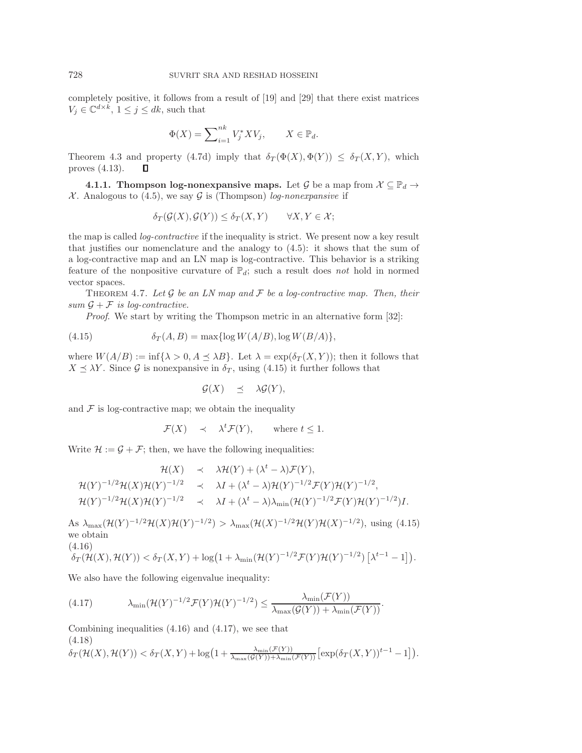completely positive, it follows from a result of [\[19\]](#page-25-20) and [\[29\]](#page-26-24) that there exist matrices  $V_j \in \mathbb{C}^{d \times k}$ ,  $1 \leq j \leq dk$ , such that

$$
\Phi(X) = \sum_{i=1}^{nk} V_j^* X V_j, \qquad X \in \mathbb{P}_d.
$$

Theorem [4.3](#page-13-2) and property [\(4.7d\)](#page-13-4) imply that  $\delta_T(\Phi(X), \Phi(Y)) \leq \delta_T(X, Y)$ , which proves [\(4.13\)](#page-14-1). О

**4.1.1. Thompson log-nonexpansive maps.** Let G be a map from  $\mathcal{X} \subseteq \mathbb{P}_d \to$  $X$ . Analogous to [\(4.5\)](#page-12-3), we say  $G$  is (Thompson) *log-nonexpansive* if

$$
\delta_T(\mathcal{G}(X), \mathcal{G}(Y)) \leq \delta_T(X, Y) \qquad \forall X, Y \in \mathcal{X};
$$

the map is called *log-contractive* if the inequality is strict. We present now a key result that justifies our nomenclature and the analogy to  $(4.5)$ : it shows that the sum of a log-contractive map and an LN map is log-contractive. This behavior is a striking feature of the nonpositive curvature of  $\mathbb{P}_d$ ; such a result does *not* hold in normed vector spaces.

<span id="page-15-4"></span>THEOREM 4.7. Let  $\mathcal G$  be an LN map and  $\mathcal F$  be a log-contractive map. Then, their *sum*  $\mathcal{G} + \mathcal{F}$  *is log-contractive.* 

*Proof.* We start by writing the Thompson metric in an alternative form [\[32\]](#page-26-7):

(4.15) 
$$
\delta_T(A, B) = \max\{\log W(A/B), \log W(B/A)\},\
$$

where  $W(A/B) := \inf\{\lambda > 0, A \leq \lambda B\}$ . Let  $\lambda = \exp(\delta_T(X, Y))$ ; then it follows that  $X \preceq \lambda Y$ . Since G is nonexpansive in  $\delta_T$ , using [\(4.15\)](#page-15-0) it further follows that

<span id="page-15-0"></span>
$$
\mathcal{G}(X) \leq \lambda \mathcal{G}(Y),
$$

and  $\mathcal F$  is log-contractive map; we obtain the inequality

<span id="page-15-2"></span>
$$
\mathcal{F}(X) \quad \prec \quad \lambda^t \mathcal{F}(Y), \qquad \text{where } t \le 1.
$$

Write  $\mathcal{H} := \mathcal{G} + \mathcal{F}$ ; then, we have the following inequalities:

$$
\mathcal{H}(X) \prec \lambda \mathcal{H}(Y) + (\lambda^t - \lambda) \mathcal{F}(Y),
$$
  
\n
$$
\mathcal{H}(Y)^{-1/2} \mathcal{H}(X) \mathcal{H}(Y)^{-1/2} \prec \lambda I + (\lambda^t - \lambda) \mathcal{H}(Y)^{-1/2} \mathcal{F}(Y) \mathcal{H}(Y)^{-1/2},
$$
  
\n
$$
\mathcal{H}(Y)^{-1/2} \mathcal{H}(X) \mathcal{H}(Y)^{-1/2} \prec \lambda I + (\lambda^t - \lambda) \lambda_{\min} (\mathcal{H}(Y)^{-1/2} \mathcal{F}(Y) \mathcal{H}(Y)^{-1/2}) I.
$$

As  $\lambda_{\max}(\mathcal{H}(Y)^{-1/2}\mathcal{H}(X)\mathcal{H}(Y)^{-1/2}) > \lambda_{\max}(\mathcal{H}(X)^{-1/2}\mathcal{H}(Y)\mathcal{H}(X)^{-1/2}),$  using [\(4.15\)](#page-15-0) we obtain (4.16)

<span id="page-15-1"></span>
$$
\delta_T(\mathcal{H}(X),\mathcal{H}(Y)) < \delta_T(X,Y) + \log\left(1+\lambda_{\min}(\mathcal{H}(Y)^{-1/2}\mathcal{F}(Y)\mathcal{H}(Y)^{-1/2}\right)\left[\lambda^{t-1}-1\right]).
$$

We also have the following eigenvalue inequality:

(4.17) 
$$
\lambda_{\min}(\mathcal{H}(Y)^{-1/2}\mathcal{F}(Y)\mathcal{H}(Y)^{-1/2}) \leq \frac{\lambda_{\min}(\mathcal{F}(Y))}{\lambda_{\max}(\mathcal{G}(Y)) + \lambda_{\min}(\mathcal{F}(Y))}.
$$

<span id="page-15-3"></span>Combining inequalities  $(4.16)$  and  $(4.17)$ , we see that (4.18)

$$
\delta_T(\mathcal{H}(X),\mathcal{H}(Y)) < \delta_T(X,Y) + \log\left(1 + \frac{\lambda_{\min}(\mathcal{F}(Y))}{\lambda_{\max}(\mathcal{G}(Y)) + \lambda_{\min}(\mathcal{F}(Y))}\left[\exp(\delta_T(X,Y))^{t-1} - 1\right]\right).
$$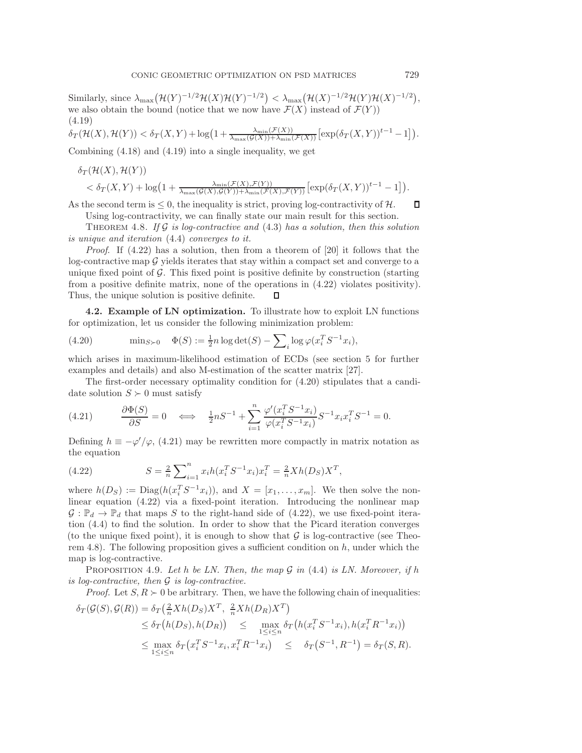Similarly, since  $\lambda_{\max}(\mathcal{H}(Y)^{-1/2}\mathcal{H}(X)\mathcal{H}(Y)^{-1/2}) < \lambda_{\max}(\mathcal{H}(X)^{-1/2}\mathcal{H}(Y)\mathcal{H}(X)^{-1/2}),$ we also obtain the bound (notice that we now have  $\mathcal{F}(X)$  instead of  $\mathcal{F}(Y)$ ) (4.19)

$$
\delta_T(\mathcal{H}(X),\mathcal{H}(Y)) < \delta_T(X,Y) + \log\left(1 + \frac{\lambda_{\min}(\mathcal{F}(X))}{\lambda_{\max}(\mathcal{G}(X)) + \lambda_{\min}(\mathcal{F}(X))}\left[\exp(\delta_T(X,Y))^{t-1} - 1\right]\right).
$$

Combining [\(4.18\)](#page-15-3) and [\(4.19\)](#page-16-1) into a single inequality, we get

<span id="page-16-1"></span>
$$
\delta_T(\mathcal{H}(X), \mathcal{H}(Y)) < \delta_T(X, Y) + \log(1 + \frac{\lambda_{\min}(\mathcal{F}(X), \mathcal{F}(Y))}{\lambda_{\max}(\mathcal{G}(X), \mathcal{G}(Y)) + \lambda_{\min}(\mathcal{F}(X), \mathcal{F}(Y))} [\exp(\delta_T(X, Y))^{t-1} - 1]).
$$

 $\Box$ As the second term is  $\leq 0$ , the inequality is strict, proving log-contractivity of H. Using log-contractivity, we can finally state our main result for this section.

<span id="page-16-5"></span>Theorem 4.8. *If* G *is log-contractive and* [\(4.3\)](#page-12-4) *has a solution, then this solution is unique and iteration* [\(4.4\)](#page-12-0) *converges to it.*

*Proof*. If [\(4.22\)](#page-16-2) has a solution, then from a theorem of [\[20\]](#page-25-21) it follows that the log-contractive map  $G$  yields iterates that stay within a compact set and converge to a unique fixed point of  $\mathcal{G}$ . This fixed point is positive definite by construction (starting from a positive definite matrix, none of the operations in [\(4.22\)](#page-16-2) violates positivity). Thus, the unique solution is positive definite. П

<span id="page-16-0"></span>**4.2. Example of LN optimization.** To illustrate how to exploit LN functions for optimization, let us consider the following minimization problem:

<span id="page-16-3"></span>(4.20) 
$$
\min_{S \succ 0} \quad \Phi(S) := \frac{1}{2}n \log \det(S) - \sum_{i} \log \varphi(x_i^T S^{-1} x_i),
$$

which arises in maximum-likelihood estimation of ECDs (see section [5](#page-18-0) for further examples and details) and also M-estimation of the scatter matrix [\[27\]](#page-26-25).

The first-order necessary optimality condition for [\(4.20\)](#page-16-3) stipulates that a candidate solution  $S \succ 0$  must satisfy

<span id="page-16-4"></span>(4.21) 
$$
\frac{\partial \Phi(S)}{\partial S} = 0 \iff \frac{1}{2}nS^{-1} + \sum_{i=1}^{n} \frac{\varphi'(x_i^T S^{-1} x_i)}{\varphi(x_i^T S^{-1} x_i)} S^{-1} x_i x_i^T S^{-1} = 0.
$$

<span id="page-16-2"></span>Defining  $h \equiv -\varphi'/\varphi$ , [\(4.21\)](#page-16-4) may be rewritten more compactly in matrix notation as the equation

(4.22) 
$$
S = \frac{2}{n} \sum_{i=1}^{n} x_i h(x_i^T S^{-1} x_i) x_i^T = \frac{2}{n} X h(D_S) X^T,
$$

where  $h(D_S) := \text{Diag}(h(x_i^T S^{-1} x_i)),$  and  $X = [x_1, \ldots, x_m].$  We then solve the nonlinear equation [\(4.22\)](#page-16-2) via a fixed-point iteration. Introducing the nonlinear map  $\mathcal{G}: \mathbb{P}_d \to \mathbb{P}_d$  that maps S to the right-hand side of [\(4.22\)](#page-16-2), we use fixed-point iteration [\(4.4\)](#page-12-0) to find the solution. In order to show that the Picard iteration converges (to the unique fixed point), it is enough to show that  $\mathcal G$  is log-contractive (see Theo-rem [4.8\)](#page-16-5). The following proposition gives a sufficient condition on  $h$ , under which the map is log-contractive.

<span id="page-16-6"></span>Proposition 4.9. *Let* h *be LN. Then, the map* G *in* [\(4.4\)](#page-12-0) *is LN. Moreover, if* h *is log-contractive, then* G *is log-contractive.*

*Proof.* Let  $S, R \geq 0$  be arbitrary. Then, we have the following chain of inequalities:

$$
\delta_T(\mathcal{G}(S), \mathcal{G}(R)) = \delta_T\left(\frac{2}{n}Xh(D_S)X^T, \frac{2}{n}Xh(D_R)X^T\right)
$$
  
\n
$$
\leq \delta_T\left(h(D_S), h(D_R)\right) \leq \max_{1 \leq i \leq n} \delta_T\left(h(x_i^TS^{-1}x_i), h(x_i^TR^{-1}x_i)\right)
$$
  
\n
$$
\leq \max_{1 \leq i \leq n} \delta_T\left(x_i^TS^{-1}x_i, x_i^TR^{-1}x_i\right) \leq \delta_T\left(S^{-1}, R^{-1}\right) = \delta_T(S, R).
$$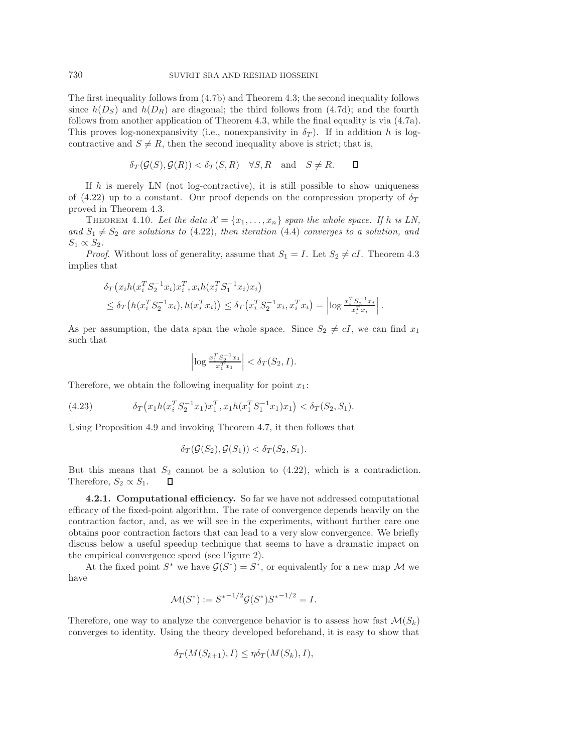The first inequality follows from [\(4.7b\)](#page-13-0) and Theorem [4.3;](#page-13-2) the second inequality follows since  $h(D_S)$  and  $h(D_R)$  are diagonal; the third follows from [\(4.7d\)](#page-13-4); and the fourth follows from another application of Theorem [4.3,](#page-13-2) while the final equality is via [\(4.7a\)](#page-13-5). This proves log-nonexpansivity (i.e., nonexpansivity in  $\delta_T$ ). If in addition h is logcontractive and  $S \neq R$ , then the second inequality above is strict; that is,

$$
\delta_T(\mathcal{G}(S), \mathcal{G}(R)) < \delta_T(S, R) \quad \forall S, R \quad \text{and} \quad S \neq R. \qquad \Box
$$

If h is merely LN (not log-contractive), it is still possible to show uniqueness of [\(4.22\)](#page-16-2) up to a constant. Our proof depends on the compression property of  $\delta_T$ proved in Theorem [4.3.](#page-13-2)

<span id="page-17-0"></span>THEOREM 4.10. Let the data  $\mathcal{X} = \{x_1, \ldots, x_n\}$  span the whole space. If h is LN, and  $S_1 \neq S_2$  are solutions to [\(4.22\)](#page-16-2), then iteration [\(4.4\)](#page-12-0) converges to a solution, and  $S_1 \propto S_2$ .

*Proof.* Without loss of generality, assume that  $S_1 = I$ . Let  $S_2 \neq cI$ . Theorem [4.3](#page-13-2) implies that

$$
\delta_T(x_i h(x_i^T S_2^{-1} x_i) x_i^T, x_i h(x_i^T S_1^{-1} x_i) x_i)
$$
  
\n
$$
\leq \delta_T(h(x_i^T S_2^{-1} x_i), h(x_i^T x_i)) \leq \delta_T(x_i^T S_2^{-1} x_i, x_i^T x_i) = \left| \log \frac{x_i^T S_2^{-1} x_i}{x_i^T x_i} \right|.
$$

As per assumption, the data span the whole space. Since  $S_2 \neq cI$ , we can find  $x_1$ such that

$$
\left| \log \frac{x_1^T S_2^{-1} x_1}{x_1^T x_1} \right| < \delta_T(S_2, I).
$$

Therefore, we obtain the following inequality for point  $x_1$ :

(4.23) 
$$
\delta_T(x_1h(x_i^T S_2^{-1}x_1)x_1^T, x_1h(x_1^T S_1^{-1}x_1)x_1) < \delta_T(S_2, S_1).
$$

Using Proposition [4.9](#page-16-6) and invoking Theorem [4.7,](#page-15-4) it then follows that

$$
\delta_T(\mathcal{G}(S_2), \mathcal{G}(S_1)) < \delta_T(S_2, S_1).
$$

But this means that  $S_2$  cannot be a solution to  $(4.22)$ , which is a contradiction. Therefore,  $S_2 \propto S_1$ . Д

**4.2.1. Computational efficiency.** So far we have not addressed computational efficacy of the fixed-point algorithm. The rate of convergence depends heavily on the contraction factor, and, as we will see in the experiments, without further care one obtains poor contraction factors that can lead to a very slow convergence. We briefly discuss below a useful speedup technique that seems to have a dramatic impact on the empirical convergence speed (see Figure [2\)](#page-24-0).

At the fixed point  $S^*$  we have  $\mathcal{G}(S^*) = S^*$ , or equivalently for a new map M we have

$$
\mathcal{M}(S^*) := S^{*-1/2} \mathcal{G}(S^*) S^{*-1/2} = I.
$$

Therefore, one way to analyze the convergence behavior is to assess how fast  $\mathcal{M}(S_k)$ converges to identity. Using the theory developed beforehand, it is easy to show that

$$
\delta_T(M(S_{k+1}), I) \leq \eta \delta_T(M(S_k), I),
$$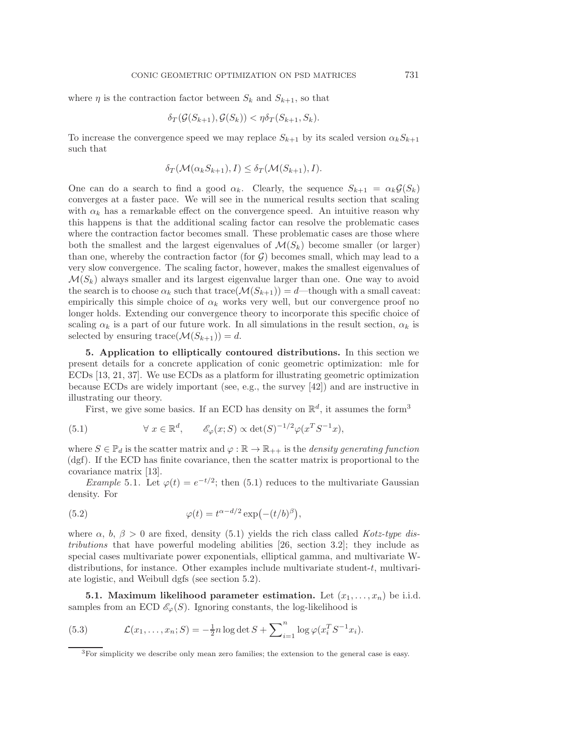where  $\eta$  is the contraction factor between  $S_k$  and  $S_{k+1}$ , so that

$$
\delta_T(\mathcal{G}(S_{k+1}), \mathcal{G}(S_k)) < \eta \delta_T(S_{k+1}, S_k).
$$

To increase the convergence speed we may replace  $S_{k+1}$  by its scaled version  $\alpha_k S_{k+1}$ such that

$$
\delta_T(\mathcal{M}(\alpha_k S_{k+1}), I) \le \delta_T(\mathcal{M}(S_{k+1}), I).
$$

One can do a search to find a good  $\alpha_k$ . Clearly, the sequence  $S_{k+1} = \alpha_k \mathcal{G}(S_k)$ converges at a faster pace. We will see in the numerical results section that scaling with  $\alpha_k$  has a remarkable effect on the convergence speed. An intuitive reason why this happens is that the additional scaling factor can resolve the problematic cases where the contraction factor becomes small. These problematic cases are those where both the smallest and the largest eigenvalues of  $\mathcal{M}(S_k)$  become smaller (or larger) than one, whereby the contraction factor (for  $G$ ) becomes small, which may lead to a very slow convergence. The scaling factor, however, makes the smallest eigenvalues of  $\mathcal{M}(S_k)$  always smaller and its largest eigenvalue larger than one. One way to avoid the search is to choose  $\alpha_k$  such that trace( $\mathcal{M}(S_{k+1}) = d$ —though with a small caveat: empirically this simple choice of  $\alpha_k$  works very well, but our convergence proof no longer holds. Extending our convergence theory to incorporate this specific choice of scaling  $\alpha_k$  is a part of our future work. In all simulations in the result section,  $\alpha_k$  is selected by ensuring trace $(\mathcal{M}(S_{k+1})) = d$ .

<span id="page-18-0"></span>**5. Application to elliptically contoured distributions.** In this section we present details for a concrete application of conic geometric optimization: mle for ECDs [\[13,](#page-25-9) [21,](#page-25-10) [37\]](#page-26-8). We use ECDs as a platform for illustrating geometric optimization because ECDs are widely important (see, e.g., the survey [\[42\]](#page-26-9)) and are instructive in illustrating our theory.

<span id="page-18-2"></span>First, we give some basics. If an ECD has density on  $\mathbb{R}^d$ , it assumes the form<sup>[3](#page-18-1)</sup>

(5.1) 
$$
\forall x \in \mathbb{R}^d, \qquad \mathscr{E}_{\varphi}(x;S) \propto \det(S)^{-1/2} \varphi(x^T S^{-1} x),
$$

where  $S \in \mathbb{P}_d$  is the scatter matrix and  $\varphi : \mathbb{R} \to \mathbb{R}_{++}$  is the *density generating function* (dgf). If the ECD has finite covariance, then the scatter matrix is proportional to the covariance matrix [\[13\]](#page-25-9).

*Example* 5.1. Let  $\varphi(t) = e^{-t/2}$ ; then [\(5.1\)](#page-18-2) reduces to the multivariate Gaussian density. For

(5.2) 
$$
\varphi(t) = t^{\alpha - d/2} \exp(-(t/b)^{\beta}),
$$

where  $\alpha$ ,  $b$ ,  $\beta > 0$  are fixed, density [\(5.1\)](#page-18-2) yields the rich class called *Kotz-type distributions* that have powerful modeling abilities [\[26,](#page-26-26) section 3.2]; they include as special cases multivariate power exponentials, elliptical gamma, and multivariate Wdistributions, for instance. Other examples include multivariate student-t, multivariate logistic, and Weibull dgfs (see section [5.2\)](#page-19-0).

**5.1.** Maximum likelihood parameter estimation. Let  $(x_1, \ldots, x_n)$  be i.i.d. samples from an ECD  $\mathscr{E}_{\varphi}(S)$ . Ignoring constants, the log-likelihood is

(5.3) 
$$
\mathcal{L}(x_1,\ldots,x_n;S) = -\frac{1}{2}n\log \det S + \sum_{i=1}^n \log \varphi(x_i^T S^{-1} x_i).
$$

<span id="page-18-1"></span><sup>3</sup>For simplicity we describe only mean zero families; the extension to the general case is easy.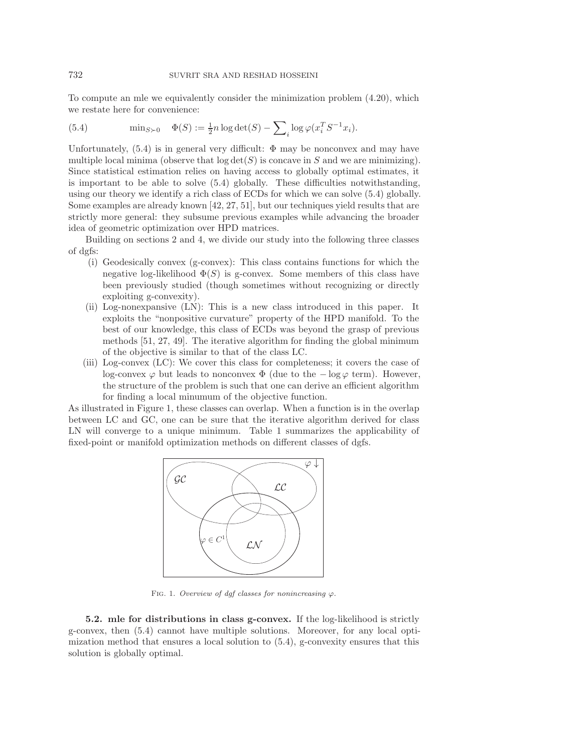<span id="page-19-1"></span>To compute an mle we equivalently consider the minimization problem [\(4.20\)](#page-16-3), which we restate here for convenience:

(5.4) 
$$
\min_{S \succ 0} \quad \Phi(S) := \frac{1}{2}n \log \det(S) - \sum_{i} \log \varphi(x_i^T S^{-1} x_i).
$$

Unfortunately,  $(5.4)$  is in general very difficult:  $\Phi$  may be nonconvex and may have multiple local minima (observe that  $log \det(S)$  is concave in S and we are minimizing). Since statistical estimation relies on having access to globally optimal estimates, it is important to be able to solve [\(5.4\)](#page-19-1) globally. These difficulties notwithstanding, using our theory we identify a rich class of ECDs for which we can solve [\(5.4\)](#page-19-1) globally. Some examples are already known [\[42,](#page-26-9) [27,](#page-26-25) [51\]](#page-26-12), but our techniques yield results that are strictly more general: they subsume previous examples while advancing the broader idea of geometric optimization over HPD matrices.

Building on sections [2](#page-1-0) and [4,](#page-10-0) we divide our study into the following three classes of dgfs:

- (i) Geodesically convex (g-convex): This class contains functions for which the negative log-likelihood  $\Phi(S)$  is g-convex. Some members of this class have been previously studied (though sometimes without recognizing or directly exploiting g-convexity).
- (ii) Log-nonexpansive (LN): This is a new class introduced in this paper. It exploits the "nonpositive curvature" property of the HPD manifold. To the best of our knowledge, this class of ECDs was beyond the grasp of previous methods [\[51,](#page-26-12) [27,](#page-26-25) [49\]](#page-26-1). The iterative algorithm for finding the global minimum of the objective is similar to that of the class LC.
- (iii) Log-convex (LC): We cover this class for completeness; it covers the case of log-convex  $\varphi$  but leads to nonconvex  $\Phi$  (due to the  $-\log \varphi$  term). However, the structure of the problem is such that one can derive an efficient algorithm for finding a local minumum of the objective function.

As illustrated in Figure [1,](#page-19-2) these classes can overlap. When a function is in the overlap between LC and GC, one can be sure that the iterative algorithm derived for class LN will converge to a unique minimum. Table [1](#page-20-1) summarizes the applicability of fixed-point or manifold optimization methods on different classes of dgfs.



<span id="page-19-2"></span>FIG. 1. Overview of dgf classes for nonincreasing  $\varphi$ .

<span id="page-19-0"></span>**5.2. mle for distributions in class g-convex.** If the log-likelihood is strictly g-convex, then [\(5.4\)](#page-19-1) cannot have multiple solutions. Moreover, for any local optimization method that ensures a local solution to  $(5.4)$ , g-convexity ensures that this solution is globally optimal.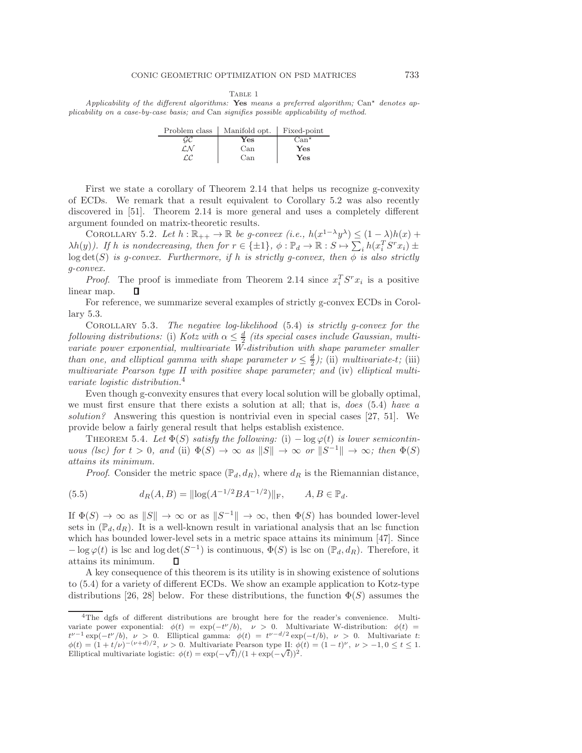Table 1

<span id="page-20-1"></span>Applicability of the different algorithms: Yes means a preferred algorithm;  $Can<sup>*</sup>$  denotes applicability on a case-by-case basis; and Can signifies possible applicability of method.

| Problem class | Manifold opt. | Fixed-point   |
|---------------|---------------|---------------|
| GC            | $\rm Yes$     | $Can^{\star}$ |
| LМ            | Can           | Yes           |
| r.c           | Can           | Yes           |

First we state a corollary of Theorem [2.14](#page-4-1) that helps us recognize g-convexity of ECDs. We remark that a result equivalent to Corollary [5.2](#page-20-2) was also recently discovered in [\[51\]](#page-26-12). Theorem [2.14](#page-4-1) is more general and uses a completely different argument founded on matrix-theoretic results.

<span id="page-20-2"></span>COROLLARY 5.2. Let  $h : \mathbb{R}_{++} \to \mathbb{R}$  be g-convex  $(i.e., h(x^{1-\lambda}y^{\lambda}) \leq (1-\lambda)h(x) +$  $\lambda h(y)$ ). If h is nondecreasing, then for  $r \in \{\pm 1\}$ ,  $\phi : \mathbb{P}_d \to \mathbb{R} : S \mapsto \sum_i h(x_i^T S^r x_i) \pm$  $log \det(S)$  *is g-convex. Furthermore, if* h *is strictly g-convex, then*  $\phi$  *is also strictly g-convex.*

*Proof.* The proof is immediate from Theorem [2.14](#page-4-1) since  $x_i^T S^r x_i$  is a positive linear map.

For reference, we summarize several examples of strictly g-convex ECDs in Corollary [5.3.](#page-20-3)

<span id="page-20-3"></span>Corollary 5.3. *The negative log-likelihood* [\(5.4\)](#page-19-1) *is strictly g-convex for the following distributions:* (i) *Kotz with*  $\alpha \leq \frac{d}{2}$  *(its special cases include Gaussian, multivariate power exponential, multivariate W-distribution with shape parameter smaller than one, and elliptical gamma with shape parameter*  $\nu \leq \frac{d}{2}$ *)*; (ii) *multivariate-t*; (iii) *multivariate Pearson type II with positive shape parameter; and* (iv) *elliptical multivariate logistic distribution.*[4](#page-20-4)

Even though g-convexity ensures that every local solution will be globally optimal, we must first ensure that there exists a solution at all; that is, *does* [\(5.4\)](#page-19-1) *have a solution?* Answering this question is nontrivial even in special cases [\[27,](#page-26-25) [51\]](#page-26-12). We provide below a fairly general result that helps establish existence.

<span id="page-20-5"></span>THEOREM 5.4. Let  $\Phi(S)$  *satisfy the following:* (i)  $-\log \varphi(t)$  *is lower semicontinuous (lsc) for*  $t > 0$ *, and* (ii)  $\Phi(S) \to \infty$  *as*  $||S|| \to \infty$  *or*  $||S^{-1}|| \to \infty$ *; then*  $\Phi(S)$ *attains its minimum.*

<span id="page-20-0"></span>*Proof.* Consider the metric space  $(\mathbb{P}_d, d_R)$ , where  $d_R$  is the Riemannian distance,

(5.5) 
$$
d_R(A, B) = ||\log(A^{-1/2}BA^{-1/2})||_F, \qquad A, B \in \mathbb{P}_d.
$$

If  $\Phi(S) \to \infty$  as  $||S|| \to \infty$  or as  $||S^{-1}|| \to \infty$ , then  $\Phi(S)$  has bounded lower-level sets in  $(\mathbb{P}_d, d_R)$ . It is a well-known result in variational analysis that an lsc function which has bounded lower-level sets in a metric space attains its minimum [\[47\]](#page-26-27). Since  $-\log \varphi(t)$  is lsc and  $\log \det(S^{-1})$  is continuous,  $\Phi(S)$  is lsc on  $(\mathbb{P}_d, d_R)$ . Therefore, it attains its minimum.  $\Box$ 

A key consequence of this theorem is its utility is in showing existence of solutions to [\(5.4\)](#page-19-1) for a variety of different ECDs. We show an example application to Kotz-type distributions [\[26,](#page-26-26) [28\]](#page-26-28) below. For these distributions, the function  $\Phi(S)$  assumes the

<span id="page-20-4"></span><sup>4</sup>The dgfs of different distributions are brought here for the reader's convenience. Multivariate power exponential:  $\phi(t) = \exp(-t^{\nu}/b)$ ,  $\nu > 0$ . Multivariate W-distribution:  $\phi(t) =$  $t^{\nu-1} \exp(-t^{\nu}/b)$ ,  $\nu > 0$ . Elliptical gamma:  $\phi(t) = t^{\nu-d/2} \exp(-t/b)$ ,  $\nu > 0$ . Multivariate t:  $φ(t) = (1 + t/\nu)^{-(\nu+d)/2}, \nu > 0.$  Multivariate Pearson type II:  $φ(t) = (1-t)^{\nu}, \nu > -1, 0 \le t \le 1.$ Elliptical multivariate logistic:  $\phi(t) = \exp(-\sqrt{t})/(1 + \exp(-\sqrt{t}))^2$ .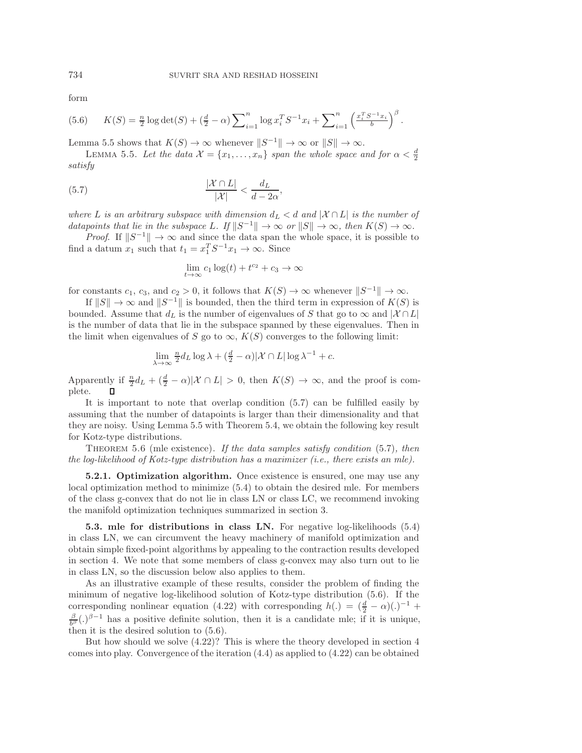<span id="page-21-2"></span>form

(5.6) 
$$
K(S) = \frac{n}{2} \log \det(S) + (\frac{d}{2} - \alpha) \sum_{i=1}^{n} \log x_i^T S^{-1} x_i + \sum_{i=1}^{n} \left(\frac{x_i^T S^{-1} x_i}{b}\right)^{\beta}.
$$

<span id="page-21-0"></span>Lemma [5.5](#page-21-0) shows that  $K(S) \to \infty$  whenever  $||S^{-1}|| \to \infty$  or  $||S|| \to \infty$ .

<span id="page-21-1"></span>LEMMA 5.5. Let the data  $\mathcal{X} = \{x_1, \ldots, x_n\}$  span the whole space and for  $\alpha < \frac{d}{2}$ *satisfy*

$$
\frac{|\mathcal{X} \cap L|}{|\mathcal{X}|} < \frac{d_L}{d - 2\alpha},
$$

*where* L *is an arbitrary subspace with dimension*  $d_L < d$  *and*  $|X \cap L|$  *is the number of datapoints that lie in the subspace* L. If  $||S^{-1}|| \to \infty$  *or*  $||S|| \to \infty$ *, then*  $K(S) \to \infty$ *.* 

*Proof.* If  $||S^{-1}|| \to \infty$  and since the data span the whole space, it is possible to find a datum  $x_1$  such that  $t_1 = x_1^T S^{-1} x_1 \to \infty$ . Since

$$
\lim_{t \to \infty} c_1 \log(t) + t^{c_2} + c_3 \to \infty
$$

for constants  $c_1$ ,  $c_3$ , and  $c_2 > 0$ , it follows that  $K(S) \to \infty$  whenever  $||S^{-1}|| \to \infty$ .

If  $||S|| \to \infty$  and  $||S^{-1}||$  is bounded, then the third term in expression of  $K(S)$  is bounded. Assume that  $d_L$  is the number of eigenvalues of S that go to  $\infty$  and  $|\mathcal{X} \cap L|$ is the number of data that lie in the subspace spanned by these eigenvalues. Then in the limit when eigenvalues of S go to  $\infty$ ,  $K(S)$  converges to the following limit:

$$
\lim_{\lambda \to \infty} \frac{n}{2} d_L \log \lambda + \left(\frac{d}{2} - \alpha\right) |\mathcal{X} \cap L| \log \lambda^{-1} + c.
$$

Apparently if  $\frac{n}{2}d_L + (\frac{d}{2} - \alpha)|\mathcal{X} \cap L| > 0$ , then  $K(S) \to \infty$ , and the proof is complete.

It is important to note that overlap condition [\(5.7\)](#page-21-1) can be fulfilled easily by assuming that the number of datapoints is larger than their dimensionality and that they are noisy. Using Lemma [5.5](#page-21-0) with Theorem [5.4,](#page-20-5) we obtain the following key result for Kotz-type distributions.

<span id="page-21-3"></span>Theorem 5.6 (mle existence). *If the data samples satisfy condition* [\(5.7\)](#page-21-1)*, then the log-likelihood of Kotz-type distribution has a maximizer (i.e., there exists an mle).*

**5.2.1. Optimization algorithm.** Once existence is ensured, one may use any local optimization method to minimize [\(5.4\)](#page-19-1) to obtain the desired mle. For members of the class g-convex that do not lie in class LN or class LC, we recommend invoking the manifold optimization techniques summarized in section [3.](#page-8-0)

**5.3. mle for distributions in class LN.** For negative log-likelihoods [\(5.4\)](#page-19-1) in class LN, we can circumvent the heavy machinery of manifold optimization and obtain simple fixed-point algorithms by appealing to the contraction results developed in section [4.](#page-10-0) We note that some members of class g-convex may also turn out to lie in class LN, so the discussion below also applies to them.

As an illustrative example of these results, consider the problem of finding the minimum of negative log-likelihood solution of Kotz-type distribution [\(5.6\)](#page-21-2). If the corresponding nonlinear equation [\(4.22\)](#page-16-2) with corresponding  $h(.) = (\frac{d}{2} - \alpha)(.)^{-1} +$  $\frac{\beta}{b^{\beta}}(.)^{\beta-1}$  has a positive definite solution, then it is a candidate mle; if it is unique, then it is the desired solution to [\(5.6\)](#page-21-2).

But how should we solve [\(4.22\)](#page-16-2)? This is where the theory developed in section [4](#page-10-0) comes into play. Convergence of the iteration [\(4.4\)](#page-12-0) as applied to [\(4.22\)](#page-16-2) can be obtained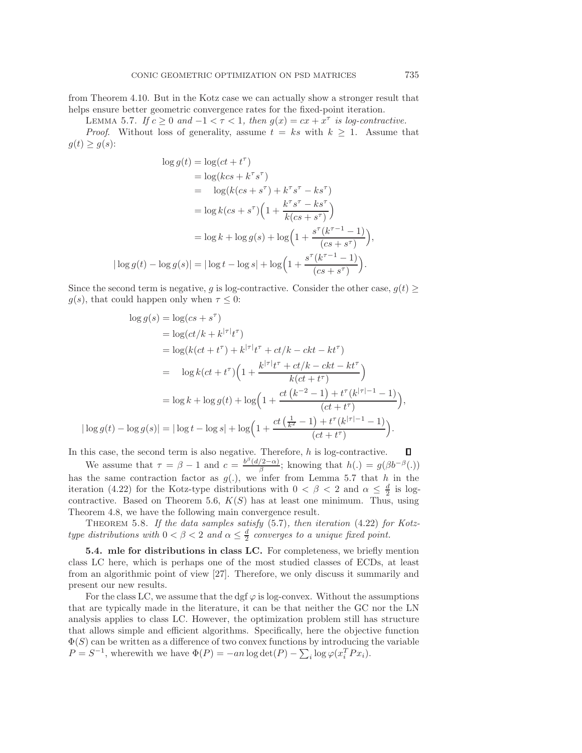from Theorem [4.10.](#page-17-0) But in the Kotz case we can actually show a stronger result that helps ensure better geometric convergence rates for the fixed-point iteration.

<span id="page-22-0"></span>LEMMA 5.7. *If*  $c \geq 0$  *and*  $-1 < \tau < 1$ *, then*  $g(x) = cx + x^{\tau}$  *is log-contractive. Proof.* Without loss of generality, assume  $t = ks$  with  $k \geq 1$ . Assume that  $g(t) \geq g(s)$ :

$$
\log g(t) = \log(ct + t^{\tau})
$$
  
=  $\log(kcs + k^{\tau}s^{\tau})$   
=  $\log(kcs + s^{\tau}) + k^{\tau}s^{\tau} - ks^{\tau})$   
=  $\log k (cs + s^{\tau}) \left(1 + \frac{k^{\tau}s^{\tau} - ks^{\tau}}{k (cs + s^{\tau})}\right)$   
=  $\log k + \log g(s) + \log \left(1 + \frac{s^{\tau}(k^{\tau-1} - 1)}{(cs + s^{\tau})}\right)$ ,  
 $|\log g(t) - \log g(s)| = |\log t - \log s| + \log \left(1 + \frac{s^{\tau}(k^{\tau-1} - 1)}{(cs + s^{\tau})}\right).$ 

Since the second term is negative, g is log-contractive. Consider the other case,  $g(t)$  $g(s)$ , that could happen only when  $\tau \leq 0$ :

$$
\log g(s) = \log(c s + s^{\tau})
$$
  
=  $\log(ct/k + k^{|\tau|}t^{\tau})$   
=  $\log(k(ct + t^{\tau}) + k^{|\tau|}t^{\tau} + ct/k - ckt - kt^{\tau})$   
=  $\log k(ct + t^{\tau}) \left(1 + \frac{k^{|\tau|}t^{\tau} + ct/k - ckt - kt^{\tau}}{k(ct + t^{\tau})}\right)$   
=  $\log k + \log g(t) + \log \left(1 + \frac{ct(k^{-2} - 1) + t^{\tau}(k^{|\tau|-1} - 1)}{(ct + t^{\tau})}\right),$   
 $|\log g(t) - \log g(s)| = |\log t - \log s| + \log \left(1 + \frac{ct(\frac{1}{k^{2}} - 1) + t^{\tau}(k^{|\tau|-1} - 1)}{(ct + t^{\tau})}\right).$ 

In this case, the second term is also negative. Therefore,  $h$  is log-contractive.

We assume that  $\tau = \beta - 1$  and  $c = \frac{b^{\beta}(d/2 - \alpha)}{\beta}$ ; knowing that  $h(.) = g(\beta b^{-\beta}(.))$ has the same contraction factor as  $g(.)$ , we infer from Lemma [5.7](#page-22-0) that h in the iteration [\(4.22\)](#page-16-2) for the Kotz-type distributions with  $0 < \beta < 2$  and  $\alpha \leq \frac{d}{2}$  is log-contractive. Based on Theorem [5.6,](#page-21-3)  $K(S)$  has at least one minimum. Thus, using Theorem [4.8,](#page-16-5) we have the following main convergence result.

<span id="page-22-1"></span>THEOREM 5.8. If the data samples satisfy [\(5.7\)](#page-21-1), then iteration [\(4.22\)](#page-16-2) for Kotz*type distributions with*  $0 < \beta < 2$  *and*  $\alpha \leq \frac{d}{2}$  *converges to a unique fixed point.* 

**5.4. mle for distributions in class LC.** For completeness, we briefly mention class LC here, which is perhaps one of the most studied classes of ECDs, at least from an algorithmic point of view [\[27\]](#page-26-25). Therefore, we only discuss it summarily and present our new results.

For the class LC, we assume that the dgf  $\varphi$  is log-convex. Without the assumptions that are typically made in the literature, it can be that neither the GC nor the LN analysis applies to class LC. However, the optimization problem still has structure that allows simple and efficient algorithms. Specifically, here the objective function  $\Phi(S)$  can be written as a difference of two convex functions by introducing the variable  $P = S^{-1}$ , wherewith we have  $\Phi(P) = -an \log \det(P) - \sum_i \log \varphi(x_i^T P x_i)$ .

D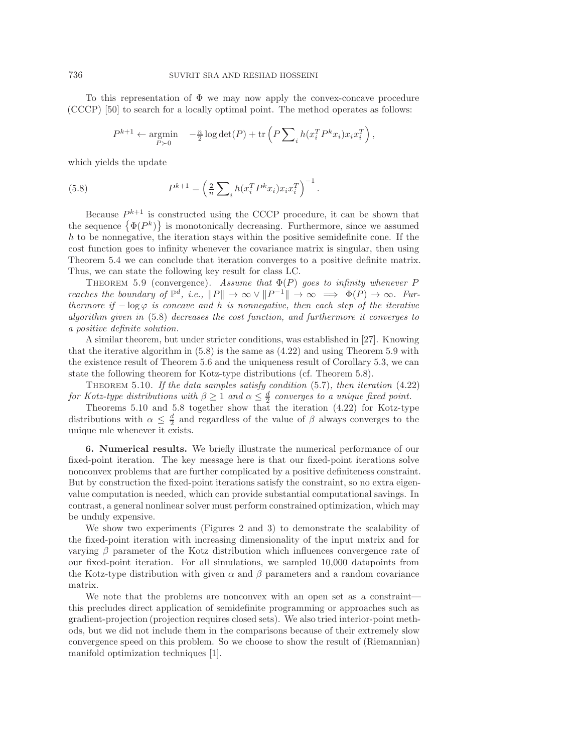To this representation of  $\Phi$  we may now apply the convex-concave procedure (CCCP) [\[50\]](#page-26-29) to search for a locally optimal point. The method operates as follows:

<span id="page-23-1"></span>
$$
P^{k+1} \leftarrow \underset{P \succ 0}{\text{argmin}} \quad -\frac{n}{2} \log \det(P) + \text{tr}\left(P \sum_{i} h(x_i^T P^k x_i) x_i x_i^T\right),
$$

which yields the update

(5.8) 
$$
P^{k+1} = \left(\frac{2}{n} \sum_{i} h(x_i^T P^k x_i) x_i x_i^T\right)^{-1}.
$$

Because  $P^{k+1}$  is constructed using the CCCP procedure, it can be shown that the sequence  $\{\Phi(P^k)\}\$ is monotonically decreasing. Furthermore, since we assumed  $h$  to be nonnegative, the iteration stays within the positive semidefinite cone. If the cost function goes to infinity whenever the covariance matrix is singular, then using Theorem [5.4](#page-20-5) we can conclude that iteration converges to a positive definite matrix. Thus, we can state the following key result for class LC.

<span id="page-23-2"></span>THEOREM 5.9 (convergence). Assume that  $\Phi(P)$  goes to infinity whenever P *reaches the boundary of*  $\mathbb{P}^d$ , *i.e.*,  $||P|| \to \infty \lor ||P^{-1}|| \to \infty \implies \Phi(P) \to \infty$ *. Furthermore if*  $-\log \varphi$  *is concave and* h *is nonnegative, then each step of the iterative algorithm given in* [\(5.8\)](#page-23-1) *decreases the cost function, and furthermore it converges to a positive definite solution.*

A similar theorem, but under stricter conditions, was established in [\[27\]](#page-26-25). Knowing that the iterative algorithm in  $(5.8)$  is the same as  $(4.22)$  and using Theorem [5.9](#page-23-2) with the existence result of Theorem [5.6](#page-21-3) and the uniqueness result of Corollary [5.3,](#page-20-3) we can state the following theorem for Kotz-type distributions (cf. Theorem [5.8\)](#page-22-1).

<span id="page-23-3"></span>Theorem 5.10. *If the data samples satisfy condition* [\(5.7\)](#page-21-1)*, then iteration* [\(4.22\)](#page-16-2) *for Kotz-type distributions with*  $\beta \geq 1$  *and*  $\alpha \leq \frac{d}{2}$  *converges to a unique fixed point.* 

Theorems [5.10](#page-23-3) and [5.8](#page-22-1) together show that the iteration [\(4.22\)](#page-16-2) for Kotz-type distributions with  $\alpha \leq \frac{d}{2}$  and regardless of the value of  $\beta$  always converges to the unique mle whenever it exists.

<span id="page-23-0"></span>**6. Numerical results.** We briefly illustrate the numerical performance of our fixed-point iteration. The key message here is that our fixed-point iterations solve nonconvex problems that are further complicated by a positive definiteness constraint. But by construction the fixed-point iterations satisfy the constraint, so no extra eigenvalue computation is needed, which can provide substantial computational savings. In contrast, a general nonlinear solver must perform constrained optimization, which may be unduly expensive.

We show two experiments (Figures [2](#page-24-0) and [3\)](#page-24-1) to demonstrate the scalability of the fixed-point iteration with increasing dimensionality of the input matrix and for varying  $\beta$  parameter of the Kotz distribution which influences convergence rate of our fixed-point iteration. For all simulations, we sampled 10,000 datapoints from the Kotz-type distribution with given  $\alpha$  and  $\beta$  parameters and a random covariance matrix.

We note that the problems are nonconvex with an open set as a constraint this precludes direct application of semidefinite programming or approaches such as gradient-projection (projection requires closed sets). We also tried interior-point methods, but we did not include them in the comparisons because of their extremely slow convergence speed on this problem. So we choose to show the result of (Riemannian) manifold optimization techniques [\[1\]](#page-25-18).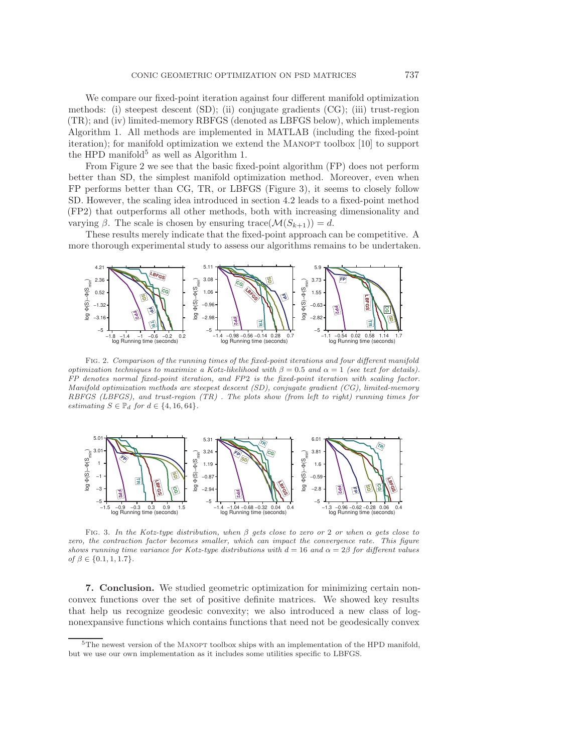We compare our fixed-point iteration against four different manifold optimization methods: (i) steepest descent (SD); (ii) conjugate gradients (CG); (iii) trust-region (TR); and (iv) limited-memory RBFGS (denoted as LBFGS below), which implements Algorithm [1.](#page-11-0) All methods are implemented in MATLAB (including the fixed-point iteration); for manifold optimization we extend the MANOPT toolbox [\[10\]](#page-25-19) to support the HPD manifold<sup>[5](#page-24-2)</sup> as well as Algorithm [1.](#page-11-0)

From Figure [2](#page-24-0) we see that the basic fixed-point algorithm (FP) does not perform better than SD, the simplest manifold optimization method. Moreover, even when FP performs better than CG, TR, or LBFGS (Figure [3\)](#page-24-1), it seems to closely follow SD. However, the scaling idea introduced in section [4.2](#page-16-0) leads to a fixed-point method (FP2) that outperforms all other methods, both with increasing dimensionality and varying  $\beta$ . The scale is chosen by ensuring trace( $\mathcal{M}(S_{k+1}) = d$ .

These results merely indicate that the fixed-point approach can be competitive. A more thorough experimental study to assess our algorithms remains to be undertaken.



<span id="page-24-0"></span>Fig. 2. Comparison of the running times of the fixed-point iterations and four different manifold optimization techniques to maximize a Kotz-likelihood with  $\beta = 0.5$  and  $\alpha = 1$  (see text for details). FP denotes normal fixed-point iteration, and FP2 is the fixed-point iteration with scaling factor. Manifold optimization methods are steepest descent (SD), conjugate gradient (CG), limited-memory RBFGS (LBFGS), and trust-region (TR) . The plots show (from left to right) running times for estimating  $S \in \mathbb{P}_d$  for  $d \in \{4, 16, 64\}.$ 



<span id="page-24-1"></span>FIG. 3. In the Kotz-type distribution, when  $\beta$  gets close to zero or 2 or when  $\alpha$  gets close to zero, the contraction factor becomes smaller, which can impact the convergence rate. This figure shows running time variance for Kotz-type distributions with  $d = 16$  and  $\alpha = 2\beta$  for different values of  $\beta \in \{0.1, 1, 1.7\}.$ 

**7. Conclusion.** We studied geometric optimization for minimizing certain nonconvex functions over the set of positive definite matrices. We showed key results that help us recognize geodesic convexity; we also introduced a new class of lognonexpansive functions which contains functions that need not be geodesically convex

<span id="page-24-2"></span> $5$ The newest version of the MANOPT toolbox ships with an implementation of the HPD manifold, but we use our own implementation as it includes some utilities specific to LBFGS.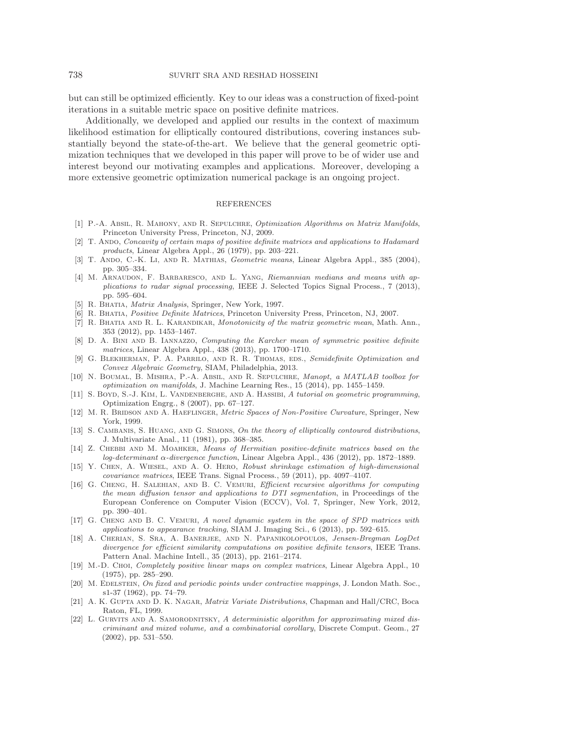but can still be optimized efficiently. Key to our ideas was a construction of fixed-point iterations in a suitable metric space on positive definite matrices.

Additionally, we developed and applied our results in the context of maximum likelihood estimation for elliptically contoured distributions, covering instances substantially beyond the state-of-the-art. We believe that the general geometric optimization techniques that we developed in this paper will prove to be of wider use and interest beyond our motivating examples and applications. Moreover, developing a more extensive geometric optimization numerical package is an ongoing project.

## REFERENCES

- <span id="page-25-18"></span>[1] P.-A. Absil, R. Mahony, and R. Sepulchre, Optimization Algorithms on Matrix Manifolds, Princeton University Press, Princeton, NJ, 2009.
- <span id="page-25-12"></span>[2] T. ANDO, Concavity of certain maps of positive definite matrices and applications to Hadamard products, Linear Algebra Appl., 26 (1979), pp. 203–221.
- <span id="page-25-14"></span>[3] T. Ando, C.-K. Li, and R. Mathias, Geometric means, Linear Algebra Appl., 385 (2004), pp. 305–334.
- <span id="page-25-17"></span>[4] M. ARNAUDON, F. BARBARESCO, AND L. YANG, Riemannian medians and means with applications to radar signal processing, IEEE J. Selected Topics Signal Process., 7 (2013), pp. 595–604.
- <span id="page-25-13"></span><span id="page-25-11"></span>[5] R. Bhatia, Matrix Analysis, Springer, New York, 1997.
- <span id="page-25-3"></span>[6] R. BHATIA, Positive Definite Matrices, Princeton University Press, Princeton, NJ, 2007.
- [7] R. BHATIA AND R. L. KARANDIKAR, Monotonicity of the matrix geometric mean, Math. Ann., 353 (2012), pp. 1453–1467.
- <span id="page-25-4"></span>[8] D. A. BINI AND B. IANNAZZO, Computing the Karcher mean of symmetric positive definite matrices, Linear Algebra Appl., 438 (2013), pp. 1700–1710.
- <span id="page-25-0"></span>[9] G. BLEKHERMAN, P. A. PARRILO, AND R. R. THOMAS, EDS., Semidefinite Optimization and Convex Algebraic Geometry, SIAM, Philadelphia, 2013.
- <span id="page-25-19"></span>[10] N. Boumal, B. Mishra, P.-A. Absil, and R. Sepulchre, Manopt, a MATLAB toolbox for optimization on manifolds, J. Machine Learning Res., 15 (2014), pp. 1455–1459.
- <span id="page-25-2"></span>[11] S. BOYD, S.-J. KIM, L. VANDENBERGHE, AND A. HASSIBI, A tutorial on geometric programming, Optimization Engrg., 8 (2007), pp. 67–127.
- <span id="page-25-1"></span>[12] M. R. BRIDSON AND A. HAEFLINGER, Metric Spaces of Non-Positive Curvature, Springer, New York, 1999.
- <span id="page-25-9"></span>[13] S. CAMBANIS, S. HUANG, AND G. SIMONS, On the theory of elliptically contoured distributions, J. Multivariate Anal., 11 (1981), pp. 368–385.
- <span id="page-25-16"></span>[14] Z. Chebbi and M. Moahker, Means of Hermitian positive-definite matrices based on the log-determinant α-divergence function, Linear Algebra Appl., 436 (2012), pp. 1872–1889.
- <span id="page-25-8"></span>[15] Y. Chen, A. Wiesel, and A. O. Hero, Robust shrinkage estimation of high-dimensional covariance matrices, IEEE Trans. Signal Process., 59 (2011), pp. 4097–4107.
- <span id="page-25-6"></span>[16] G. Cheng, H. Salehian, and B. C. Vemuri, Efficient recursive algorithms for computing the mean diffusion tensor and applications to DTI segmentation, in Proceedings of the European Conference on Computer Vision (ECCV), Vol. 7, Springer, New York, 2012, pp. 390–401.
- <span id="page-25-5"></span>[17] G. CHENG AND B. C. VEMURI, A novel dynamic system in the space of SPD matrices with applications to appearance tracking, SIAM J. Imaging Sci., 6 (2013), pp. 592–615.
- <span id="page-25-7"></span>[18] A. Cherian, S. Sra, A. Banerjee, and N. Papanikolopoulos, Jensen-Bregman LogDet divergence for efficient similarity computations on positive definite tensors, IEEE Trans. Pattern Anal. Machine Intell., 35 (2013), pp. 2161–2174.
- <span id="page-25-20"></span>[19] M.-D. Choi, Completely positive linear maps on complex matrices, Linear Algebra Appl., 10 (1975), pp. 285–290.
- <span id="page-25-21"></span>[20] M. EDELSTEIN, On fixed and periodic points under contractive mappings, J. London Math. Soc., s1-37 (1962), pp. 74–79.
- <span id="page-25-10"></span>[21] A. K. GUPTA AND D. K. NAGAR, *Matrix Variate Distributions*, Chapman and Hall/CRC, Boca Raton, FL, 1999.
- <span id="page-25-15"></span>[22] L. GURVITS AND A. SAMORODNITSKY, A deterministic algorithm for approximating mixed discriminant and mixed volume, and a combinatorial corollary, Discrete Comput. Geom., 27 (2002), pp. 531–550.